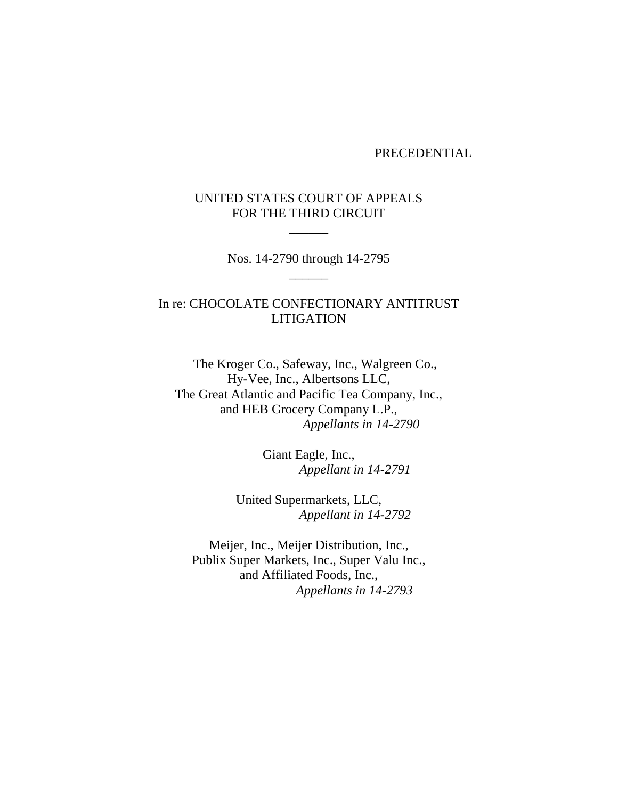#### PRECEDENTIAL

### UNITED STATES COURT OF APPEALS FOR THE THIRD CIRCUIT

 $\overline{\phantom{a}}$ 

Nos. 14-2790 through 14-2795  $\overline{\phantom{a}}$ 

# In re: CHOCOLATE CONFECTIONARY ANTITRUST LITIGATION

 The Kroger Co., Safeway, Inc., Walgreen Co., Hy-Vee, Inc., Albertsons LLC, The Great Atlantic and Pacific Tea Company, Inc., and HEB Grocery Company L.P., *Appellants in 14-2790*

> Giant Eagle, Inc., *Appellant in 14-2791*

United Supermarkets, LLC, *Appellant in 14-2792*

Meijer, Inc., Meijer Distribution, Inc., Publix Super Markets, Inc., Super Valu Inc., and Affiliated Foods, Inc., *Appellants in 14-2793*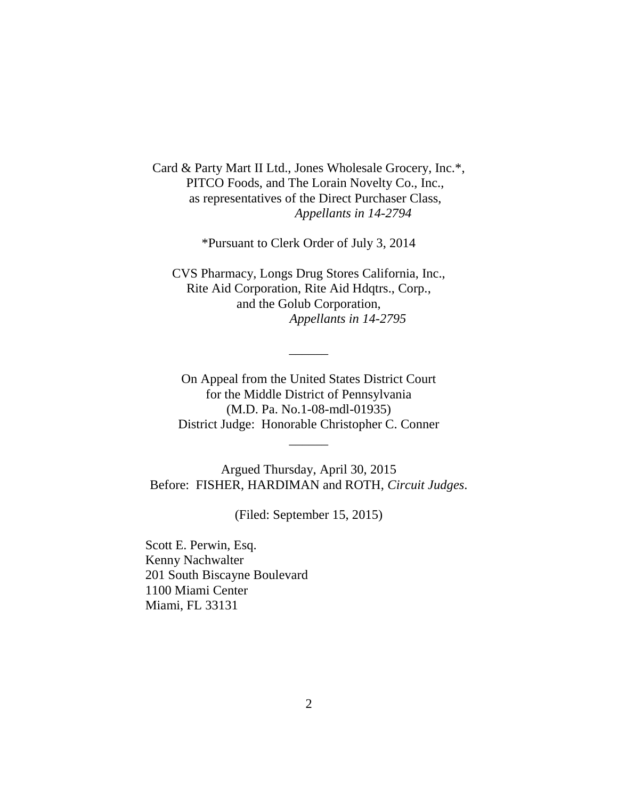Card & Party Mart II Ltd., Jones Wholesale Grocery, Inc.\*, PITCO Foods, and The Lorain Novelty Co., Inc., as representatives of the Direct Purchaser Class, *Appellants in 14-2794*

\*Pursuant to Clerk Order of July 3, 2014

CVS Pharmacy, Longs Drug Stores California, Inc., Rite Aid Corporation, Rite Aid Hdqtrs., Corp., and the Golub Corporation, *Appellants in 14-2795*

On Appeal from the United States District Court for the Middle District of Pennsylvania (M.D. Pa. No.1-08-mdl-01935) District Judge: Honorable Christopher C. Conner

 $\overline{\phantom{a}}$ 

 $\overline{\phantom{a}}$ 

Argued Thursday, April 30, 2015 Before: FISHER, HARDIMAN and ROTH, *Circuit Judges*.

(Filed: September 15, 2015)

Scott E. Perwin, Esq. Kenny Nachwalter 201 South Biscayne Boulevard 1100 Miami Center Miami, FL 33131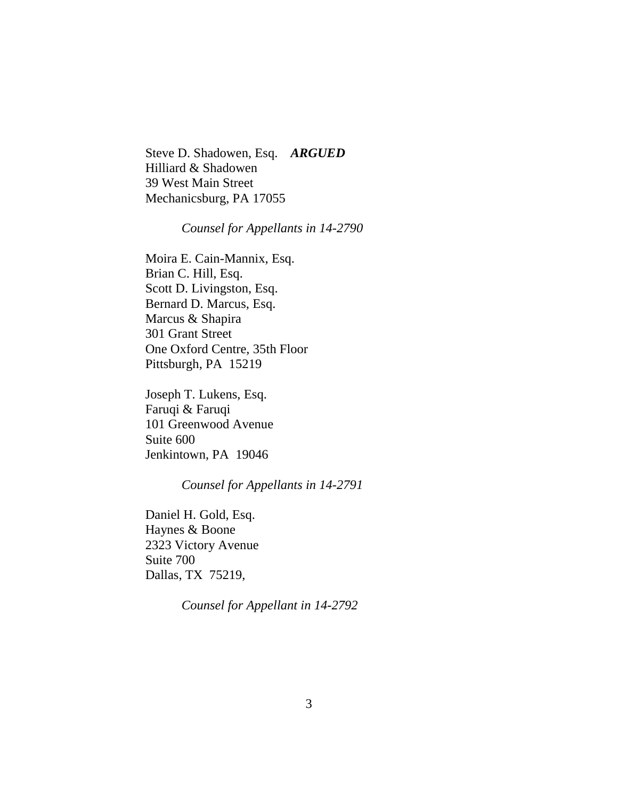Steve D. Shadowen, Esq. *ARGUED* Hilliard & Shadowen 39 West Main Street Mechanicsburg, PA 17055

### *Counsel for Appellants in 14-2790*

Moira E. Cain-Mannix, Esq. Brian C. Hill, Esq. Scott D. Livingston, Esq. Bernard D. Marcus, Esq. Marcus & Shapira 301 Grant Street One Oxford Centre, 35th Floor Pittsburgh, PA 15219

Joseph T. Lukens, Esq. Faruqi & Faruqi 101 Greenwood Avenue Suite 600 Jenkintown, PA 19046

## *Counsel for Appellants in 14-2791*

Daniel H. Gold, Esq. Haynes & Boone 2323 Victory Avenue Suite 700 Dallas, TX 75219,

*Counsel for Appellant in 14-2792*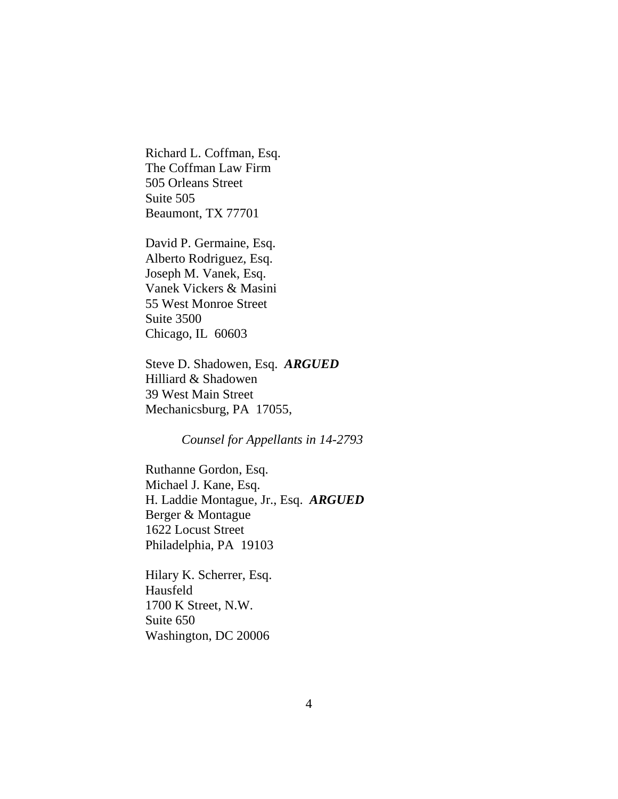Richard L. Coffman, Esq. The Coffman Law Firm 505 Orleans Street Suite 505 Beaumont, TX 77701

David P. Germaine, Esq. Alberto Rodriguez, Esq. Joseph M. Vanek, Esq. Vanek Vickers & Masini 55 West Monroe Street Suite 3500 Chicago, IL 60603

Steve D. Shadowen, Esq. *ARGUED* Hilliard & Shadowen 39 West Main Street Mechanicsburg, PA 17055,

*Counsel for Appellants in 14-2793*

Ruthanne Gordon, Esq. Michael J. Kane, Esq. H. Laddie Montague, Jr., Esq. *ARGUED* Berger & Montague 1622 Locust Street Philadelphia, PA 19103

Hilary K. Scherrer, Esq. Hausfeld 1700 K Street, N.W. Suite 650 Washington, DC 20006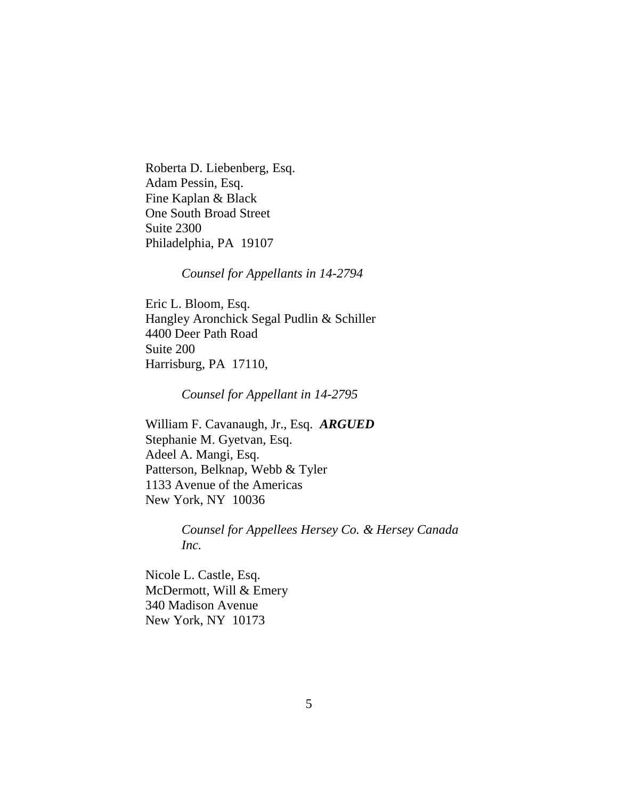Roberta D. Liebenberg, Esq. Adam Pessin, Esq. Fine Kaplan & Black One South Broad Street Suite 2300 Philadelphia, PA 19107

*Counsel for Appellants in 14-2794*

Eric L. Bloom, Esq. Hangley Aronchick Segal Pudlin & Schiller 4400 Deer Path Road Suite 200 Harrisburg, PA 17110,

*Counsel for Appellant in 14-2795*

William F. Cavanaugh, Jr., Esq. *ARGUED* Stephanie M. Gyetvan, Esq. Adeel A. Mangi, Esq. Patterson, Belknap, Webb & Tyler 1133 Avenue of the Americas New York, NY 10036

> *Counsel for Appellees Hersey Co. & Hersey Canada Inc.*

Nicole L. Castle, Esq. McDermott, Will & Emery 340 Madison Avenue New York, NY 10173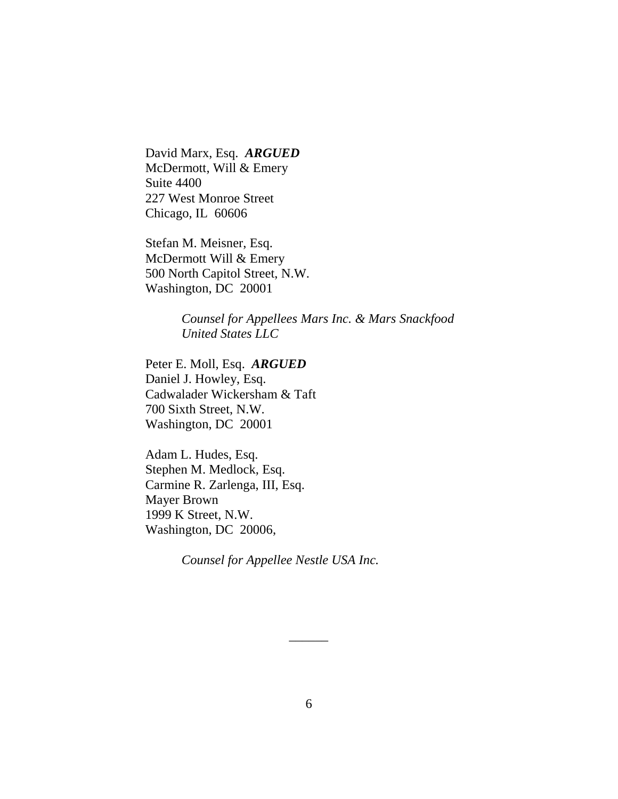David Marx, Esq. *ARGUED* McDermott, Will & Emery Suite 4400 227 West Monroe Street Chicago, IL 60606

Stefan M. Meisner, Esq. McDermott Will & Emery 500 North Capitol Street, N.W. Washington, DC 20001

> *Counsel for Appellees Mars Inc. & Mars Snackfood United States LLC*

Peter E. Moll, Esq. *ARGUED* Daniel J. Howley, Esq. Cadwalader Wickersham & Taft 700 Sixth Street, N.W. Washington, DC 20001

Adam L. Hudes, Esq. Stephen M. Medlock, Esq. Carmine R. Zarlenga, III, Esq. Mayer Brown 1999 K Street, N.W. Washington, DC 20006,

*Counsel for Appellee Nestle USA Inc.*

 $\overline{\phantom{a}}$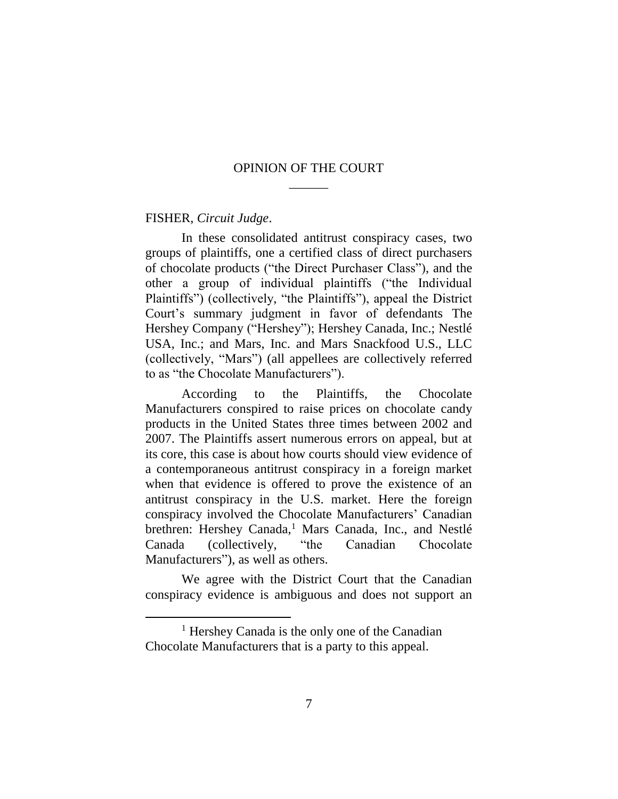### OPINION OF THE COURT  $\overline{\phantom{a}}$

#### FISHER, *Circuit Judge*.

 $\overline{a}$ 

In these consolidated antitrust conspiracy cases, two groups of plaintiffs, one a certified class of direct purchasers of chocolate products ("the Direct Purchaser Class"), and the other a group of individual plaintiffs ("the Individual Plaintiffs") (collectively, "the Plaintiffs"), appeal the District Court's summary judgment in favor of defendants The Hershey Company ("Hershey"); Hershey Canada, Inc.; Nestlé USA, Inc.; and Mars, Inc. and Mars Snackfood U.S., LLC (collectively, "Mars") (all appellees are collectively referred to as "the Chocolate Manufacturers").

According to the Plaintiffs, the Chocolate Manufacturers conspired to raise prices on chocolate candy products in the United States three times between 2002 and 2007. The Plaintiffs assert numerous errors on appeal, but at its core, this case is about how courts should view evidence of a contemporaneous antitrust conspiracy in a foreign market when that evidence is offered to prove the existence of an antitrust conspiracy in the U.S. market. Here the foreign conspiracy involved the Chocolate Manufacturers' Canadian brethren: Hershey Canada,<sup>1</sup> Mars Canada, Inc., and Nestlé Canada (collectively, "the Canadian Chocolate Manufacturers"), as well as others.

We agree with the District Court that the Canadian conspiracy evidence is ambiguous and does not support an

<sup>1</sup> Hershey Canada is the only one of the Canadian Chocolate Manufacturers that is a party to this appeal.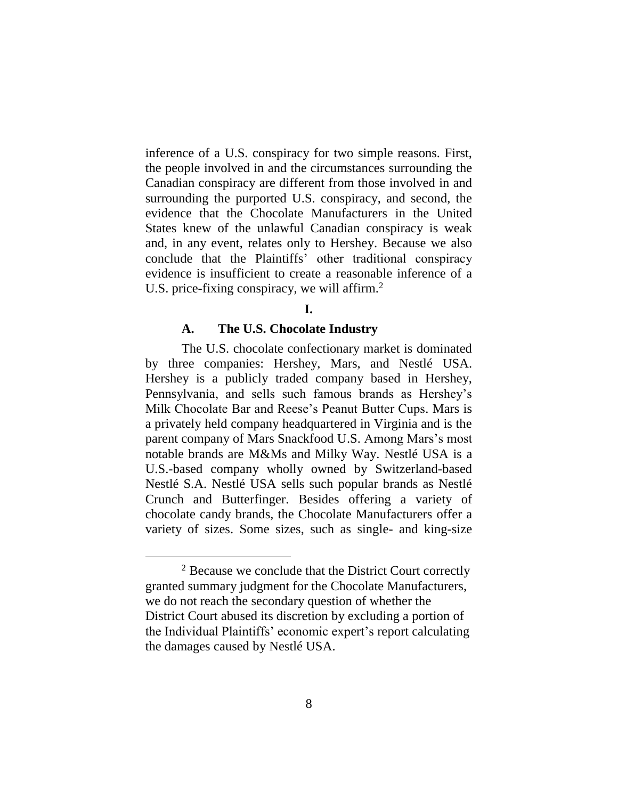inference of a U.S. conspiracy for two simple reasons. First, the people involved in and the circumstances surrounding the Canadian conspiracy are different from those involved in and surrounding the purported U.S. conspiracy, and second, the evidence that the Chocolate Manufacturers in the United States knew of the unlawful Canadian conspiracy is weak and, in any event, relates only to Hershey. Because we also conclude that the Plaintiffs' other traditional conspiracy evidence is insufficient to create a reasonable inference of a U.S. price-fixing conspiracy, we will affirm.<sup>2</sup>

#### **I.**

#### **A. The U.S. Chocolate Industry**

The U.S. chocolate confectionary market is dominated by three companies: Hershey, Mars, and Nestlé USA. Hershey is a publicly traded company based in Hershey, Pennsylvania, and sells such famous brands as Hershey's Milk Chocolate Bar and Reese's Peanut Butter Cups. Mars is a privately held company headquartered in Virginia and is the parent company of Mars Snackfood U.S. Among Mars's most notable brands are M&Ms and Milky Way. Nestlé USA is a U.S.-based company wholly owned by Switzerland-based Nestlé S.A. Nestlé USA sells such popular brands as Nestlé Crunch and Butterfinger. Besides offering a variety of chocolate candy brands, the Chocolate Manufacturers offer a variety of sizes. Some sizes, such as single- and king-size

<sup>&</sup>lt;sup>2</sup> Because we conclude that the District Court correctly granted summary judgment for the Chocolate Manufacturers, we do not reach the secondary question of whether the District Court abused its discretion by excluding a portion of the Individual Plaintiffs' economic expert's report calculating the damages caused by Nestlé USA.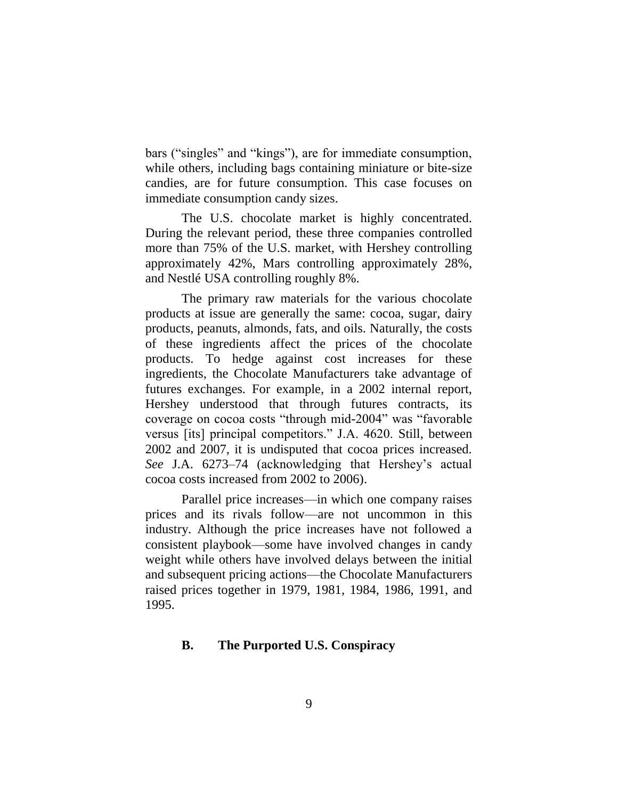bars ("singles" and "kings"), are for immediate consumption, while others, including bags containing miniature or bite-size candies, are for future consumption. This case focuses on immediate consumption candy sizes.

The U.S. chocolate market is highly concentrated. During the relevant period, these three companies controlled more than 75% of the U.S. market, with Hershey controlling approximately 42%, Mars controlling approximately 28%, and Nestlé USA controlling roughly 8%.

The primary raw materials for the various chocolate products at issue are generally the same: cocoa, sugar, dairy products, peanuts, almonds, fats, and oils. Naturally, the costs of these ingredients affect the prices of the chocolate products. To hedge against cost increases for these ingredients, the Chocolate Manufacturers take advantage of futures exchanges. For example, in a 2002 internal report, Hershey understood that through futures contracts, its coverage on cocoa costs "through mid-2004" was "favorable versus [its] principal competitors." J.A. 4620. Still, between 2002 and 2007, it is undisputed that cocoa prices increased. *See* J.A. 6273–74 (acknowledging that Hershey's actual cocoa costs increased from 2002 to 2006).

Parallel price increases—in which one company raises prices and its rivals follow—are not uncommon in this industry. Although the price increases have not followed a consistent playbook—some have involved changes in candy weight while others have involved delays between the initial and subsequent pricing actions—the Chocolate Manufacturers raised prices together in 1979, 1981, 1984, 1986, 1991, and 1995.

### **B. The Purported U.S. Conspiracy**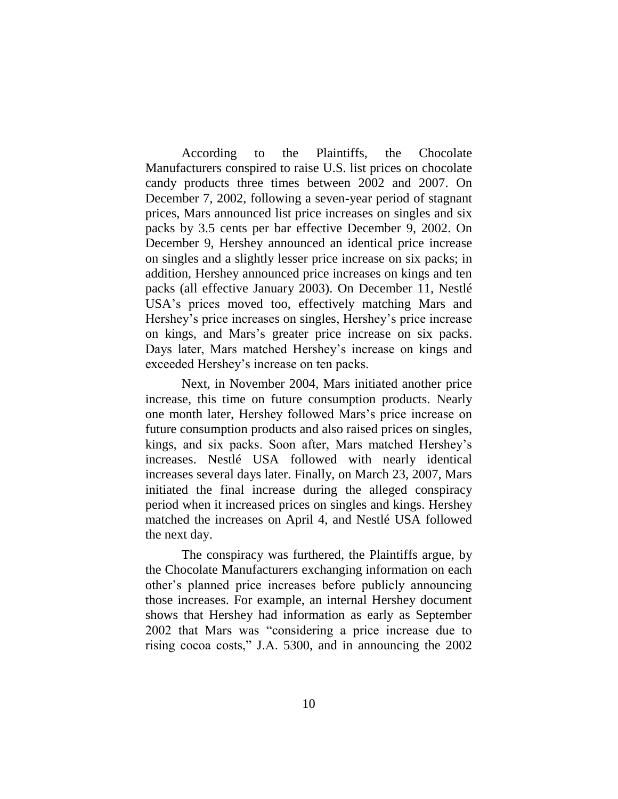According to the Plaintiffs, the Chocolate Manufacturers conspired to raise U.S. list prices on chocolate candy products three times between 2002 and 2007. On December 7, 2002, following a seven-year period of stagnant prices, Mars announced list price increases on singles and six packs by 3.5 cents per bar effective December 9, 2002. On December 9, Hershey announced an identical price increase on singles and a slightly lesser price increase on six packs; in addition, Hershey announced price increases on kings and ten packs (all effective January 2003). On December 11, Nestlé USA's prices moved too, effectively matching Mars and Hershey's price increases on singles, Hershey's price increase on kings, and Mars's greater price increase on six packs. Days later, Mars matched Hershey's increase on kings and exceeded Hershey's increase on ten packs.

Next, in November 2004, Mars initiated another price increase, this time on future consumption products. Nearly one month later, Hershey followed Mars's price increase on future consumption products and also raised prices on singles, kings, and six packs. Soon after, Mars matched Hershey's increases. Nestlé USA followed with nearly identical increases several days later. Finally, on March 23, 2007, Mars initiated the final increase during the alleged conspiracy period when it increased prices on singles and kings. Hershey matched the increases on April 4, and Nestlé USA followed the next day.

The conspiracy was furthered, the Plaintiffs argue, by the Chocolate Manufacturers exchanging information on each other's planned price increases before publicly announcing those increases. For example, an internal Hershey document shows that Hershey had information as early as September 2002 that Mars was "considering a price increase due to rising cocoa costs," J.A. 5300, and in announcing the 2002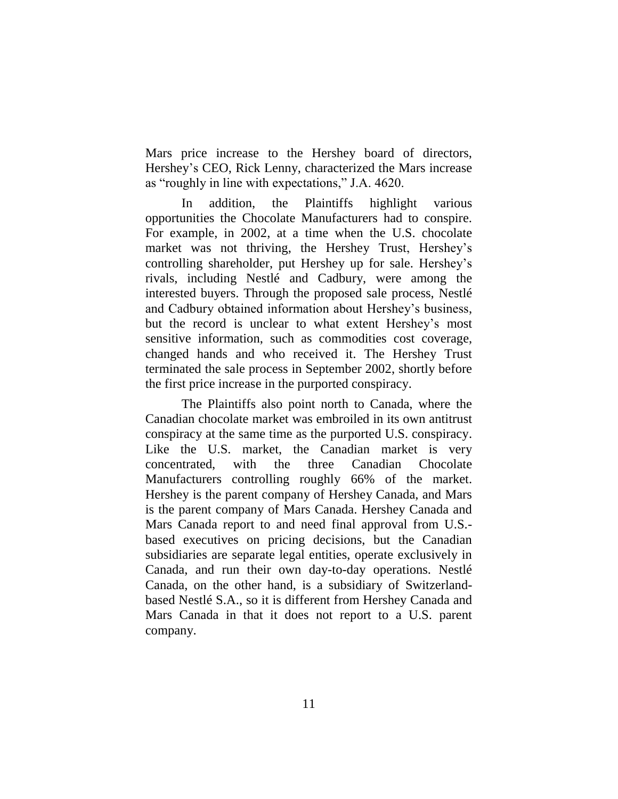Mars price increase to the Hershey board of directors, Hershey's CEO, Rick Lenny, characterized the Mars increase as "roughly in line with expectations," J.A. 4620.

In addition, the Plaintiffs highlight various opportunities the Chocolate Manufacturers had to conspire. For example, in 2002, at a time when the U.S. chocolate market was not thriving, the Hershey Trust, Hershey's controlling shareholder, put Hershey up for sale. Hershey's rivals, including Nestlé and Cadbury, were among the interested buyers. Through the proposed sale process, Nestlé and Cadbury obtained information about Hershey's business, but the record is unclear to what extent Hershey's most sensitive information, such as commodities cost coverage, changed hands and who received it. The Hershey Trust terminated the sale process in September 2002, shortly before the first price increase in the purported conspiracy.

The Plaintiffs also point north to Canada, where the Canadian chocolate market was embroiled in its own antitrust conspiracy at the same time as the purported U.S. conspiracy. Like the U.S. market, the Canadian market is very concentrated, with the three Canadian Chocolate Manufacturers controlling roughly 66% of the market. Hershey is the parent company of Hershey Canada, and Mars is the parent company of Mars Canada. Hershey Canada and Mars Canada report to and need final approval from U.S. based executives on pricing decisions, but the Canadian subsidiaries are separate legal entities, operate exclusively in Canada, and run their own day-to-day operations. Nestlé Canada, on the other hand, is a subsidiary of Switzerlandbased Nestlé S.A., so it is different from Hershey Canada and Mars Canada in that it does not report to a U.S. parent company.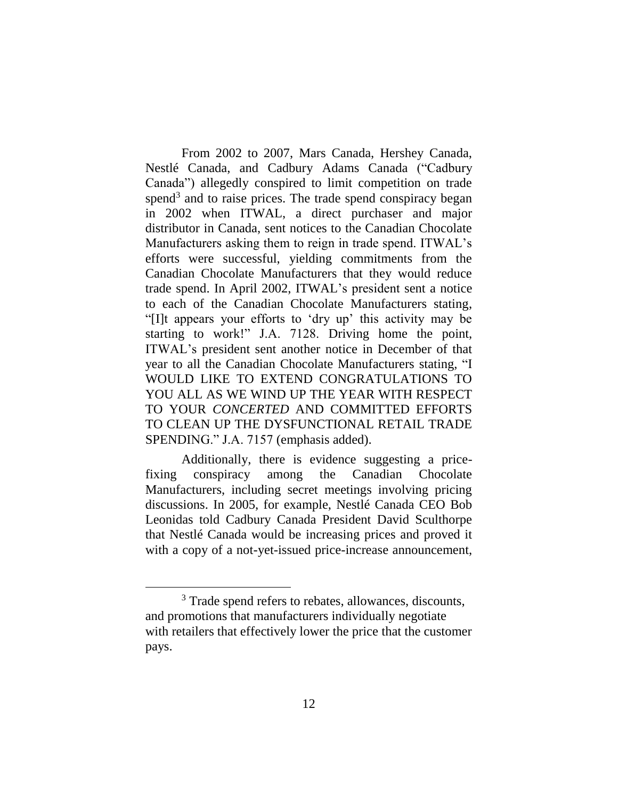From 2002 to 2007, Mars Canada, Hershey Canada, Nestlé Canada, and Cadbury Adams Canada ("Cadbury Canada") allegedly conspired to limit competition on trade spend<sup>3</sup> and to raise prices. The trade spend conspiracy began in 2002 when ITWAL, a direct purchaser and major distributor in Canada, sent notices to the Canadian Chocolate Manufacturers asking them to reign in trade spend. ITWAL's efforts were successful, yielding commitments from the Canadian Chocolate Manufacturers that they would reduce trade spend. In April 2002, ITWAL's president sent a notice to each of the Canadian Chocolate Manufacturers stating, "[I]t appears your efforts to 'dry up' this activity may be starting to work!" J.A. 7128. Driving home the point, ITWAL's president sent another notice in December of that year to all the Canadian Chocolate Manufacturers stating, "I WOULD LIKE TO EXTEND CONGRATULATIONS TO YOU ALL AS WE WIND UP THE YEAR WITH RESPECT TO YOUR *CONCERTED* AND COMMITTED EFFORTS TO CLEAN UP THE DYSFUNCTIONAL RETAIL TRADE SPENDING." J.A. 7157 (emphasis added).

Additionally, there is evidence suggesting a pricefixing conspiracy among the Canadian Chocolate Manufacturers, including secret meetings involving pricing discussions. In 2005, for example, Nestlé Canada CEO Bob Leonidas told Cadbury Canada President David Sculthorpe that Nestlé Canada would be increasing prices and proved it with a copy of a not-yet-issued price-increase announcement,

 $\overline{a}$ 

<sup>&</sup>lt;sup>3</sup> Trade spend refers to rebates, allowances, discounts, and promotions that manufacturers individually negotiate with retailers that effectively lower the price that the customer pays.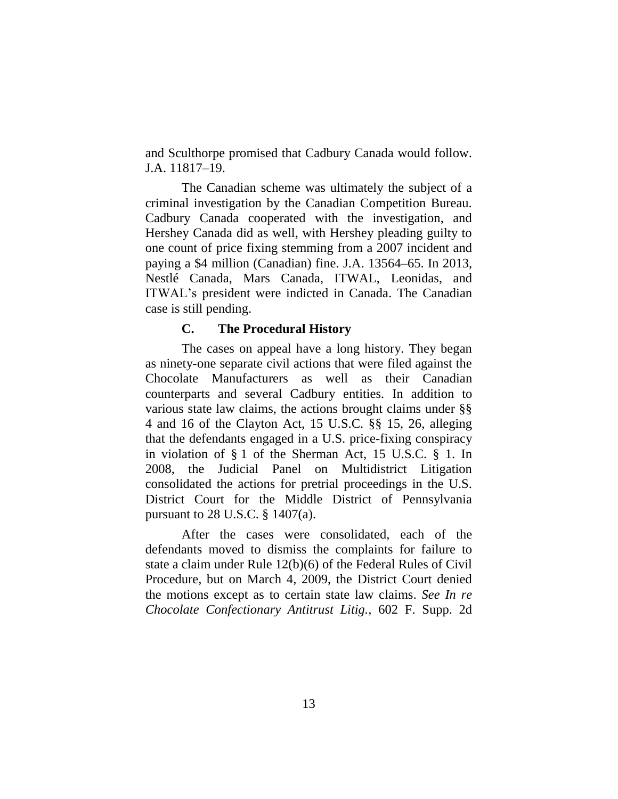and Sculthorpe promised that Cadbury Canada would follow. J.A. 11817–19.

The Canadian scheme was ultimately the subject of a criminal investigation by the Canadian Competition Bureau. Cadbury Canada cooperated with the investigation, and Hershey Canada did as well, with Hershey pleading guilty to one count of price fixing stemming from a 2007 incident and paying a \$4 million (Canadian) fine. J.A. 13564–65. In 2013, Nestlé Canada, Mars Canada, ITWAL, Leonidas, and ITWAL's president were indicted in Canada. The Canadian case is still pending.

### **C. The Procedural History**

The cases on appeal have a long history. They began as ninety-one separate civil actions that were filed against the Chocolate Manufacturers as well as their Canadian counterparts and several Cadbury entities. In addition to various state law claims, the actions brought claims under §§ 4 and 16 of the Clayton Act, 15 U.S.C. §§ 15, 26, alleging that the defendants engaged in a U.S. price-fixing conspiracy in violation of § 1 of the Sherman Act, 15 U.S.C. § 1. In 2008, the Judicial Panel on Multidistrict Litigation consolidated the actions for pretrial proceedings in the U.S. District Court for the Middle District of Pennsylvania pursuant to 28 U.S.C. § 1407(a).

After the cases were consolidated, each of the defendants moved to dismiss the complaints for failure to state a claim under Rule 12(b)(6) of the Federal Rules of Civil Procedure, but on March 4, 2009, the District Court denied the motions except as to certain state law claims. *See In re Chocolate Confectionary Antitrust Litig.*, 602 F. Supp. 2d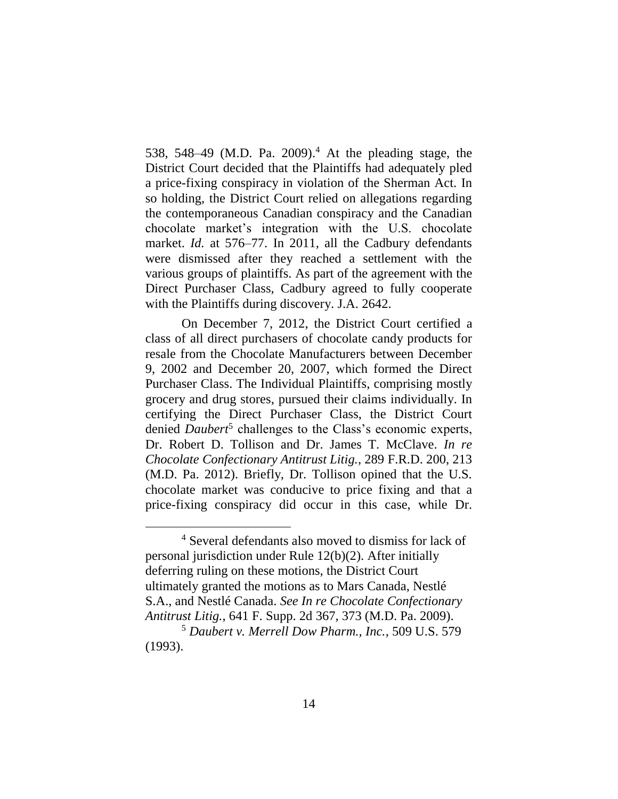538, 548–49 (M.D. Pa. 2009). <sup>4</sup> At the pleading stage, the District Court decided that the Plaintiffs had adequately pled a price-fixing conspiracy in violation of the Sherman Act. In so holding, the District Court relied on allegations regarding the contemporaneous Canadian conspiracy and the Canadian chocolate market's integration with the U.S. chocolate market. *Id.* at 576–77. In 2011, all the Cadbury defendants were dismissed after they reached a settlement with the various groups of plaintiffs. As part of the agreement with the Direct Purchaser Class, Cadbury agreed to fully cooperate with the Plaintiffs during discovery. J.A. 2642.

On December 7, 2012, the District Court certified a class of all direct purchasers of chocolate candy products for resale from the Chocolate Manufacturers between December 9, 2002 and December 20, 2007, which formed the Direct Purchaser Class. The Individual Plaintiffs, comprising mostly grocery and drug stores, pursued their claims individually. In certifying the Direct Purchaser Class, the District Court denied *Daubert*<sup>5</sup> challenges to the Class's economic experts, Dr. Robert D. Tollison and Dr. James T. McClave. *In re Chocolate Confectionary Antitrust Litig.*, 289 F.R.D. 200, 213 (M.D. Pa. 2012). Briefly, Dr. Tollison opined that the U.S. chocolate market was conducive to price fixing and that a price-fixing conspiracy did occur in this case, while Dr.

 $\overline{a}$ 

<sup>&</sup>lt;sup>4</sup> Several defendants also moved to dismiss for lack of personal jurisdiction under Rule 12(b)(2). After initially deferring ruling on these motions, the District Court ultimately granted the motions as to Mars Canada, Nestlé S.A., and Nestlé Canada. *See In re Chocolate Confectionary Antitrust Litig.*, 641 F. Supp. 2d 367, 373 (M.D. Pa. 2009).

<sup>5</sup> *Daubert v. Merrell Dow Pharm., Inc.*, 509 U.S. 579 (1993).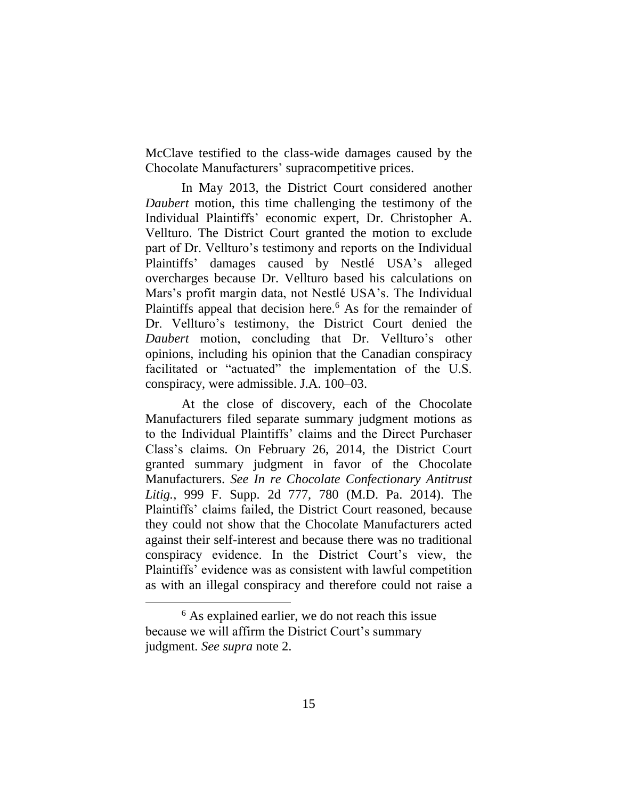McClave testified to the class-wide damages caused by the Chocolate Manufacturers' supracompetitive prices.

In May 2013, the District Court considered another *Daubert* motion, this time challenging the testimony of the Individual Plaintiffs' economic expert, Dr. Christopher A. Vellturo. The District Court granted the motion to exclude part of Dr. Vellturo's testimony and reports on the Individual Plaintiffs' damages caused by Nestlé USA's alleged overcharges because Dr. Vellturo based his calculations on Mars's profit margin data, not Nestlé USA's. The Individual Plaintiffs appeal that decision here.<sup>6</sup> As for the remainder of Dr. Vellturo's testimony, the District Court denied the *Daubert* motion, concluding that Dr. Vellturo's other opinions, including his opinion that the Canadian conspiracy facilitated or "actuated" the implementation of the U.S. conspiracy, were admissible. J.A. 100–03.

At the close of discovery, each of the Chocolate Manufacturers filed separate summary judgment motions as to the Individual Plaintiffs' claims and the Direct Purchaser Class's claims. On February 26, 2014, the District Court granted summary judgment in favor of the Chocolate Manufacturers. *See In re Chocolate Confectionary Antitrust Litig.*, 999 F. Supp. 2d 777, 780 (M.D. Pa. 2014). The Plaintiffs' claims failed, the District Court reasoned, because they could not show that the Chocolate Manufacturers acted against their self-interest and because there was no traditional conspiracy evidence. In the District Court's view, the Plaintiffs' evidence was as consistent with lawful competition as with an illegal conspiracy and therefore could not raise a

 $\overline{a}$ 

<sup>&</sup>lt;sup>6</sup> As explained earlier, we do not reach this issue because we will affirm the District Court's summary judgment. *See supra* note 2.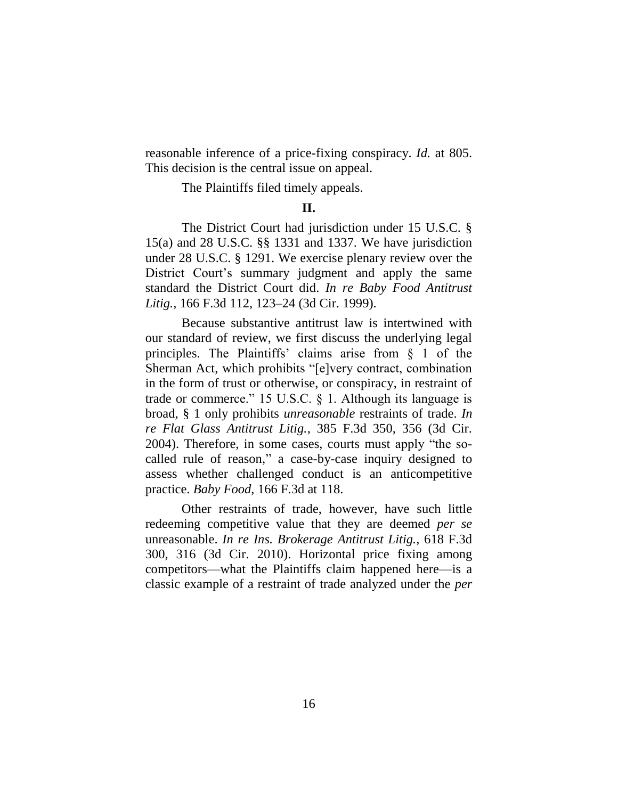reasonable inference of a price-fixing conspiracy. *Id.* at 805. This decision is the central issue on appeal.

The Plaintiffs filed timely appeals.

### **II.**

The District Court had jurisdiction under 15 U.S.C. § 15(a) and 28 U.S.C. §§ 1331 and 1337. We have jurisdiction under 28 U.S.C. § 1291. We exercise plenary review over the District Court's summary judgment and apply the same standard the District Court did. *In re Baby Food Antitrust Litig.*, 166 F.3d 112, 123–24 (3d Cir. 1999).

Because substantive antitrust law is intertwined with our standard of review, we first discuss the underlying legal principles. The Plaintiffs' claims arise from § 1 of the Sherman Act, which prohibits "[e]very contract, combination in the form of trust or otherwise, or conspiracy, in restraint of trade or commerce." 15 U.S.C. § 1. Although its language is broad, § 1 only prohibits *unreasonable* restraints of trade. *In re Flat Glass Antitrust Litig.*, 385 F.3d 350, 356 (3d Cir. 2004). Therefore, in some cases, courts must apply "the socalled rule of reason," a case-by-case inquiry designed to assess whether challenged conduct is an anticompetitive practice. *Baby Food*, 166 F.3d at 118.

Other restraints of trade, however, have such little redeeming competitive value that they are deemed *per se* unreasonable. *In re Ins. Brokerage Antitrust Litig.*, 618 F.3d 300, 316 (3d Cir. 2010). Horizontal price fixing among competitors—what the Plaintiffs claim happened here—is a classic example of a restraint of trade analyzed under the *per*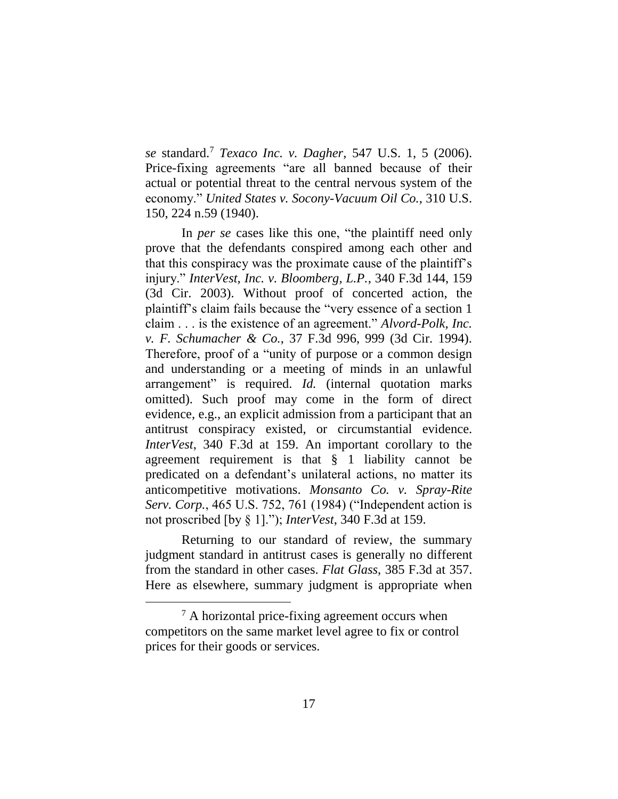*se* standard.<sup>7</sup> *Texaco Inc. v. Dagher*, 547 U.S. 1, 5 (2006). Price-fixing agreements "are all banned because of their actual or potential threat to the central nervous system of the economy." *United States v. Socony-Vacuum Oil Co.*, 310 U.S. 150, 224 n.59 (1940).

In *per se* cases like this one, "the plaintiff need only prove that the defendants conspired among each other and that this conspiracy was the proximate cause of the plaintiff's injury." *InterVest, Inc. v. Bloomberg, L.P.*, 340 F.3d 144, 159 (3d Cir. 2003). Without proof of concerted action, the plaintiff's claim fails because the "very essence of a section 1 claim . . . is the existence of an agreement." *Alvord-Polk, Inc. v. F. Schumacher & Co.*, 37 F.3d 996, 999 (3d Cir. 1994). Therefore, proof of a "unity of purpose or a common design and understanding or a meeting of minds in an unlawful arrangement" is required. *Id.* (internal quotation marks omitted). Such proof may come in the form of direct evidence, e.g., an explicit admission from a participant that an antitrust conspiracy existed, or circumstantial evidence. *InterVest*, 340 F.3d at 159. An important corollary to the agreement requirement is that § 1 liability cannot be predicated on a defendant's unilateral actions, no matter its anticompetitive motivations. *Monsanto Co. v. Spray-Rite Serv. Corp.*, 465 U.S. 752, 761 (1984) ("Independent action is not proscribed [by § 1]."); *InterVest*, 340 F.3d at 159.

Returning to our standard of review, the summary judgment standard in antitrust cases is generally no different from the standard in other cases. *Flat Glass*, 385 F.3d at 357. Here as elsewhere, summary judgment is appropriate when

 $\overline{a}$ 

<sup>7</sup> A horizontal price-fixing agreement occurs when competitors on the same market level agree to fix or control prices for their goods or services.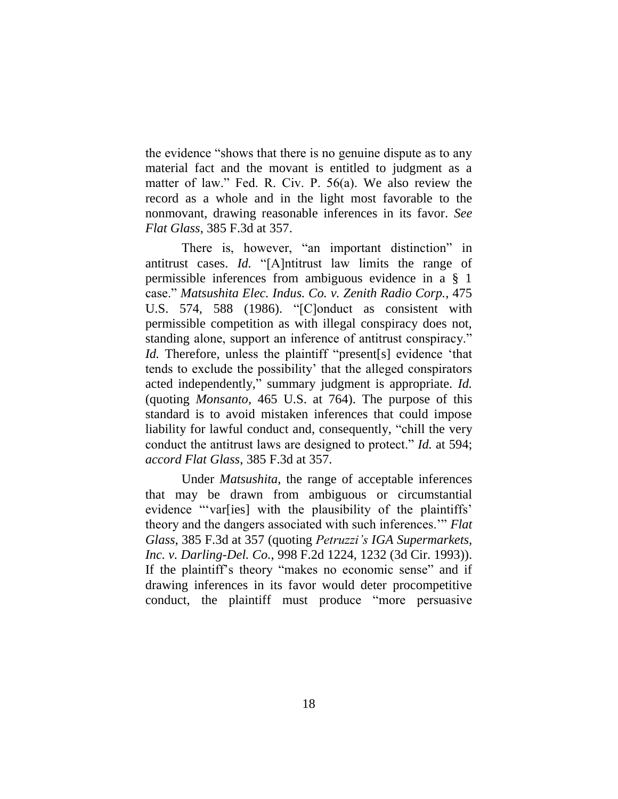the evidence "shows that there is no genuine dispute as to any material fact and the movant is entitled to judgment as a matter of law." Fed. R. Civ. P. 56(a). We also review the record as a whole and in the light most favorable to the nonmovant, drawing reasonable inferences in its favor. *See Flat Glass*, 385 F.3d at 357.

There is, however, "an important distinction" in antitrust cases. *Id.* "[A]ntitrust law limits the range of permissible inferences from ambiguous evidence in a § 1 case." *Matsushita Elec. Indus. Co. v. Zenith Radio Corp.*, 475 U.S. 574, 588 (1986). "[C]onduct as consistent with permissible competition as with illegal conspiracy does not, standing alone, support an inference of antitrust conspiracy." *Id.* Therefore, unless the plaintiff "present[s] evidence 'that tends to exclude the possibility' that the alleged conspirators acted independently," summary judgment is appropriate. *Id.*  (quoting *Monsanto*, 465 U.S. at 764). The purpose of this standard is to avoid mistaken inferences that could impose liability for lawful conduct and, consequently, "chill the very conduct the antitrust laws are designed to protect." *Id.* at 594; *accord Flat Glass*, 385 F.3d at 357.

Under *Matsushita*, the range of acceptable inferences that may be drawn from ambiguous or circumstantial evidence "'var[ies] with the plausibility of the plaintiffs' theory and the dangers associated with such inferences.'" *Flat Glass*, 385 F.3d at 357 (quoting *Petruzzi's IGA Supermarkets, Inc. v. Darling-Del. Co.*, 998 F.2d 1224, 1232 (3d Cir. 1993)). If the plaintiff's theory "makes no economic sense" and if drawing inferences in its favor would deter procompetitive conduct, the plaintiff must produce "more persuasive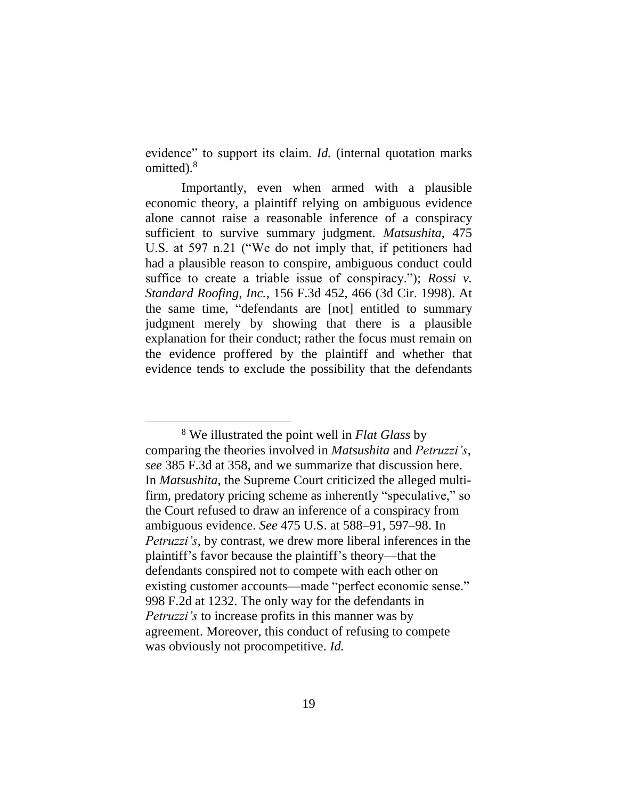evidence" to support its claim. *Id.* (internal quotation marks omitted).<sup>8</sup>

Importantly, even when armed with a plausible economic theory, a plaintiff relying on ambiguous evidence alone cannot raise a reasonable inference of a conspiracy sufficient to survive summary judgment. *Matsushita*, 475 U.S. at 597 n.21 ("We do not imply that, if petitioners had had a plausible reason to conspire, ambiguous conduct could suffice to create a triable issue of conspiracy."); *Rossi v. Standard Roofing, Inc.*, 156 F.3d 452, 466 (3d Cir. 1998). At the same time, "defendants are [not] entitled to summary judgment merely by showing that there is a plausible explanation for their conduct; rather the focus must remain on the evidence proffered by the plaintiff and whether that evidence tends to exclude the possibility that the defendants

 $\overline{a}$ 

<sup>8</sup> We illustrated the point well in *Flat Glass* by comparing the theories involved in *Matsushita* and *Petruzzi's*, *see* 385 F.3d at 358, and we summarize that discussion here. In *Matsushita*, the Supreme Court criticized the alleged multifirm, predatory pricing scheme as inherently "speculative," so the Court refused to draw an inference of a conspiracy from ambiguous evidence. *See* 475 U.S. at 588–91, 597–98. In *Petruzzi's*, by contrast, we drew more liberal inferences in the plaintiff's favor because the plaintiff's theory—that the defendants conspired not to compete with each other on existing customer accounts—made "perfect economic sense." 998 F.2d at 1232. The only way for the defendants in *Petruzzi's* to increase profits in this manner was by agreement. Moreover, this conduct of refusing to compete was obviously not procompetitive. *Id.*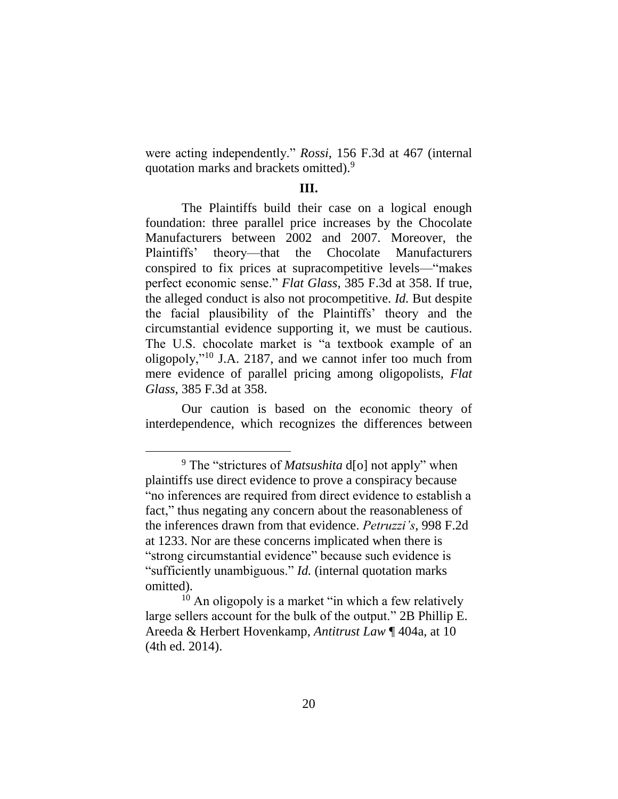were acting independently." *Rossi*, 156 F.3d at 467 (internal quotation marks and brackets omitted).<sup>9</sup>

### **III.**

The Plaintiffs build their case on a logical enough foundation: three parallel price increases by the Chocolate Manufacturers between 2002 and 2007. Moreover, the Plaintiffs' theory—that the Chocolate Manufacturers conspired to fix prices at supracompetitive levels—"makes perfect economic sense." *Flat Glass*, 385 F.3d at 358. If true, the alleged conduct is also not procompetitive. *Id.* But despite the facial plausibility of the Plaintiffs' theory and the circumstantial evidence supporting it, we must be cautious. The U.S. chocolate market is "a textbook example of an oligopoly,"<sup>10</sup> J.A. 2187, and we cannot infer too much from mere evidence of parallel pricing among oligopolists, *Flat Glass*, 385 F.3d at 358.

Our caution is based on the economic theory of interdependence, which recognizes the differences between

<sup>9</sup> The "strictures of *Matsushita* d[o] not apply" when plaintiffs use direct evidence to prove a conspiracy because "no inferences are required from direct evidence to establish a fact," thus negating any concern about the reasonableness of the inferences drawn from that evidence. *Petruzzi's*, 998 F.2d at 1233. Nor are these concerns implicated when there is "strong circumstantial evidence" because such evidence is "sufficiently unambiguous." *Id.* (internal quotation marks omitted).

 $10$  An oligopoly is a market "in which a few relatively large sellers account for the bulk of the output." 2B Phillip E. Areeda & Herbert Hovenkamp, *Antitrust Law* ¶ 404a, at 10 (4th ed. 2014).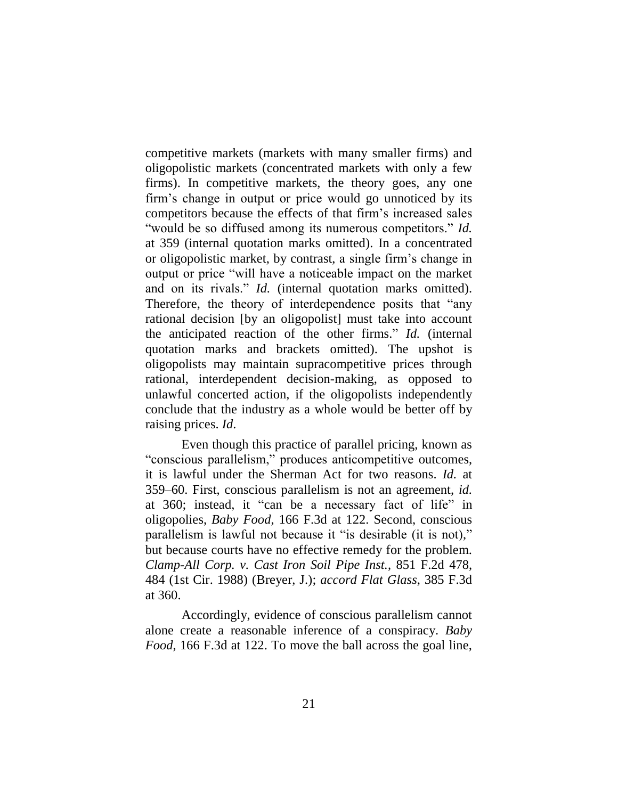competitive markets (markets with many smaller firms) and oligopolistic markets (concentrated markets with only a few firms). In competitive markets, the theory goes, any one firm's change in output or price would go unnoticed by its competitors because the effects of that firm's increased sales "would be so diffused among its numerous competitors." *Id.* at 359 (internal quotation marks omitted). In a concentrated or oligopolistic market, by contrast, a single firm's change in output or price "will have a noticeable impact on the market and on its rivals." *Id.* (internal quotation marks omitted). Therefore, the theory of interdependence posits that "any rational decision [by an oligopolist] must take into account the anticipated reaction of the other firms." *Id.* (internal quotation marks and brackets omitted). The upshot is oligopolists may maintain supracompetitive prices through rational, interdependent decision-making, as opposed to unlawful concerted action, if the oligopolists independently conclude that the industry as a whole would be better off by raising prices. *Id*.

Even though this practice of parallel pricing, known as "conscious parallelism," produces anticompetitive outcomes, it is lawful under the Sherman Act for two reasons. *Id.* at 359–60. First, conscious parallelism is not an agreement, *id.* at 360; instead, it "can be a necessary fact of life" in oligopolies, *Baby Food*, 166 F.3d at 122. Second, conscious parallelism is lawful not because it "is desirable (it is not)," but because courts have no effective remedy for the problem. *Clamp-All Corp. v. Cast Iron Soil Pipe Inst.*, 851 F.2d 478, 484 (1st Cir. 1988) (Breyer, J.); *accord Flat Glass*, 385 F.3d at 360.

Accordingly, evidence of conscious parallelism cannot alone create a reasonable inference of a conspiracy. *Baby Food*, 166 F.3d at 122. To move the ball across the goal line,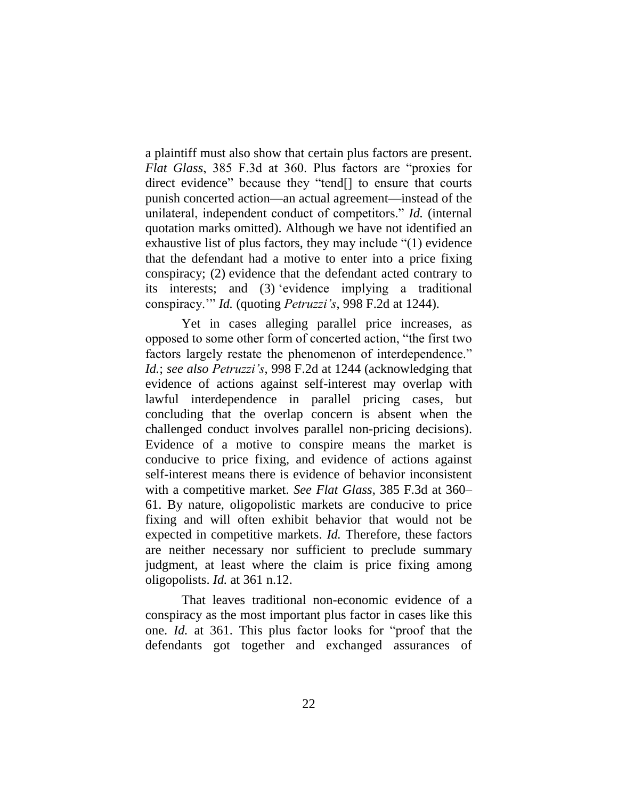a plaintiff must also show that certain plus factors are present. *Flat Glass*, 385 F.3d at 360. Plus factors are "proxies for direct evidence" because they "tend[] to ensure that courts punish concerted action—an actual agreement—instead of the unilateral, independent conduct of competitors." *Id.* (internal quotation marks omitted). Although we have not identified an exhaustive list of plus factors, they may include "(1) evidence that the defendant had a motive to enter into a price fixing conspiracy; (2) evidence that the defendant acted contrary to its interests; and (3) 'evidence implying a traditional conspiracy.'" *Id.* (quoting *Petruzzi's*, 998 F.2d at 1244).

Yet in cases alleging parallel price increases, as opposed to some other form of concerted action, "the first two factors largely restate the phenomenon of interdependence." *Id.*; *see also Petruzzi's*, 998 F.2d at 1244 (acknowledging that evidence of actions against self-interest may overlap with lawful interdependence in parallel pricing cases, but concluding that the overlap concern is absent when the challenged conduct involves parallel non-pricing decisions). Evidence of a motive to conspire means the market is conducive to price fixing, and evidence of actions against self-interest means there is evidence of behavior inconsistent with a competitive market. *See Flat Glass*, 385 F.3d at 360– 61. By nature, oligopolistic markets are conducive to price fixing and will often exhibit behavior that would not be expected in competitive markets. *Id.* Therefore, these factors are neither necessary nor sufficient to preclude summary judgment, at least where the claim is price fixing among oligopolists. *Id.* at 361 n.12.

That leaves traditional non-economic evidence of a conspiracy as the most important plus factor in cases like this one. *Id.* at 361. This plus factor looks for "proof that the defendants got together and exchanged assurances of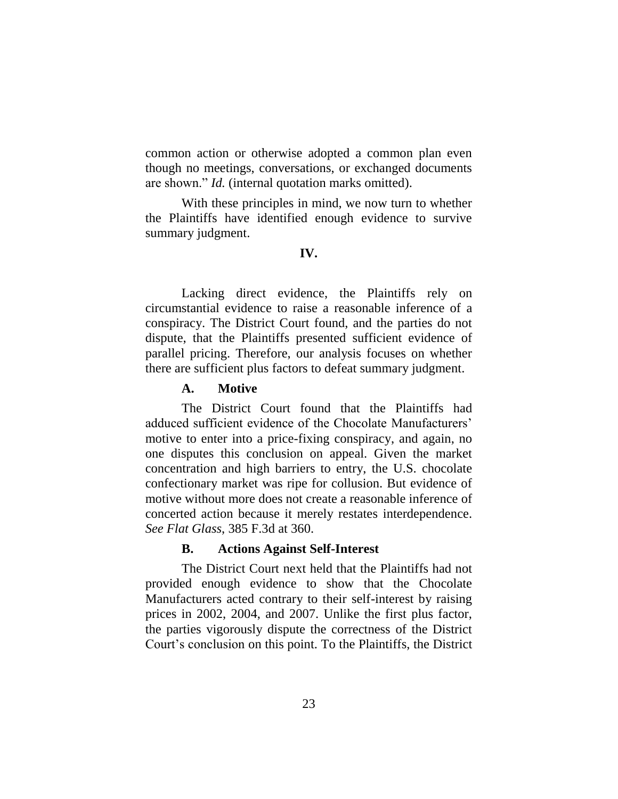common action or otherwise adopted a common plan even though no meetings, conversations, or exchanged documents are shown." *Id.* (internal quotation marks omitted).

With these principles in mind, we now turn to whether the Plaintiffs have identified enough evidence to survive summary judgment.

#### **IV.**

Lacking direct evidence, the Plaintiffs rely on circumstantial evidence to raise a reasonable inference of a conspiracy. The District Court found, and the parties do not dispute, that the Plaintiffs presented sufficient evidence of parallel pricing. Therefore, our analysis focuses on whether there are sufficient plus factors to defeat summary judgment.

#### **A. Motive**

The District Court found that the Plaintiffs had adduced sufficient evidence of the Chocolate Manufacturers' motive to enter into a price-fixing conspiracy, and again, no one disputes this conclusion on appeal. Given the market concentration and high barriers to entry, the U.S. chocolate confectionary market was ripe for collusion. But evidence of motive without more does not create a reasonable inference of concerted action because it merely restates interdependence. *See Flat Glass*, 385 F.3d at 360.

#### **B. Actions Against Self-Interest**

The District Court next held that the Plaintiffs had not provided enough evidence to show that the Chocolate Manufacturers acted contrary to their self-interest by raising prices in 2002, 2004, and 2007. Unlike the first plus factor, the parties vigorously dispute the correctness of the District Court's conclusion on this point. To the Plaintiffs, the District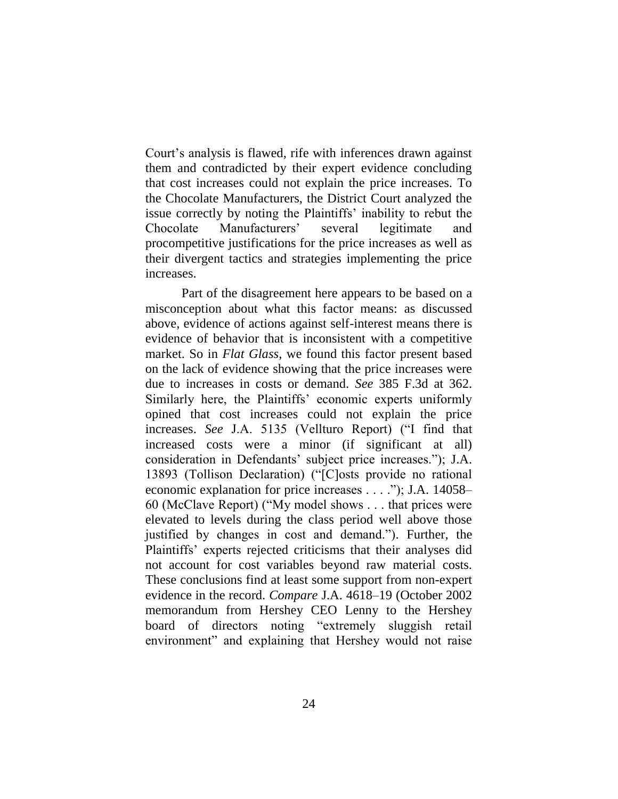Court's analysis is flawed, rife with inferences drawn against them and contradicted by their expert evidence concluding that cost increases could not explain the price increases. To the Chocolate Manufacturers, the District Court analyzed the issue correctly by noting the Plaintiffs' inability to rebut the Chocolate Manufacturers' several legitimate and procompetitive justifications for the price increases as well as their divergent tactics and strategies implementing the price increases.

Part of the disagreement here appears to be based on a misconception about what this factor means: as discussed above, evidence of actions against self-interest means there is evidence of behavior that is inconsistent with a competitive market. So in *Flat Glass*, we found this factor present based on the lack of evidence showing that the price increases were due to increases in costs or demand. *See* 385 F.3d at 362. Similarly here, the Plaintiffs' economic experts uniformly opined that cost increases could not explain the price increases. *See* J.A. 5135 (Vellturo Report) ("I find that increased costs were a minor (if significant at all) consideration in Defendants' subject price increases."); J.A. 13893 (Tollison Declaration) ("[C]osts provide no rational economic explanation for price increases . . . ."); J.A. 14058– 60 (McClave Report) ("My model shows . . . that prices were elevated to levels during the class period well above those justified by changes in cost and demand."). Further, the Plaintiffs' experts rejected criticisms that their analyses did not account for cost variables beyond raw material costs. These conclusions find at least some support from non-expert evidence in the record. *Compare* J.A. 4618–19 (October 2002 memorandum from Hershey CEO Lenny to the Hershey board of directors noting "extremely sluggish retail environment" and explaining that Hershey would not raise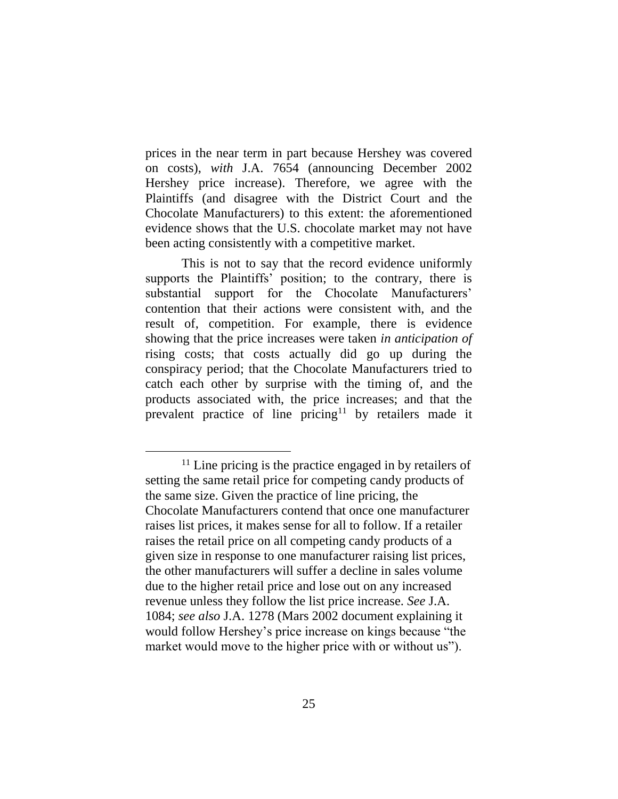prices in the near term in part because Hershey was covered on costs), *with* J.A. 7654 (announcing December 2002 Hershey price increase). Therefore, we agree with the Plaintiffs (and disagree with the District Court and the Chocolate Manufacturers) to this extent: the aforementioned evidence shows that the U.S. chocolate market may not have been acting consistently with a competitive market.

This is not to say that the record evidence uniformly supports the Plaintiffs' position; to the contrary, there is substantial support for the Chocolate Manufacturers' contention that their actions were consistent with, and the result of, competition. For example, there is evidence showing that the price increases were taken *in anticipation of* rising costs; that costs actually did go up during the conspiracy period; that the Chocolate Manufacturers tried to catch each other by surprise with the timing of, and the products associated with, the price increases; and that the prevalent practice of line pricing<sup>11</sup> by retailers made it

 $11$  Line pricing is the practice engaged in by retailers of setting the same retail price for competing candy products of the same size. Given the practice of line pricing, the Chocolate Manufacturers contend that once one manufacturer raises list prices, it makes sense for all to follow. If a retailer raises the retail price on all competing candy products of a given size in response to one manufacturer raising list prices, the other manufacturers will suffer a decline in sales volume due to the higher retail price and lose out on any increased revenue unless they follow the list price increase. *See* J.A. 1084; *see also* J.A. 1278 (Mars 2002 document explaining it would follow Hershey's price increase on kings because "the market would move to the higher price with or without us").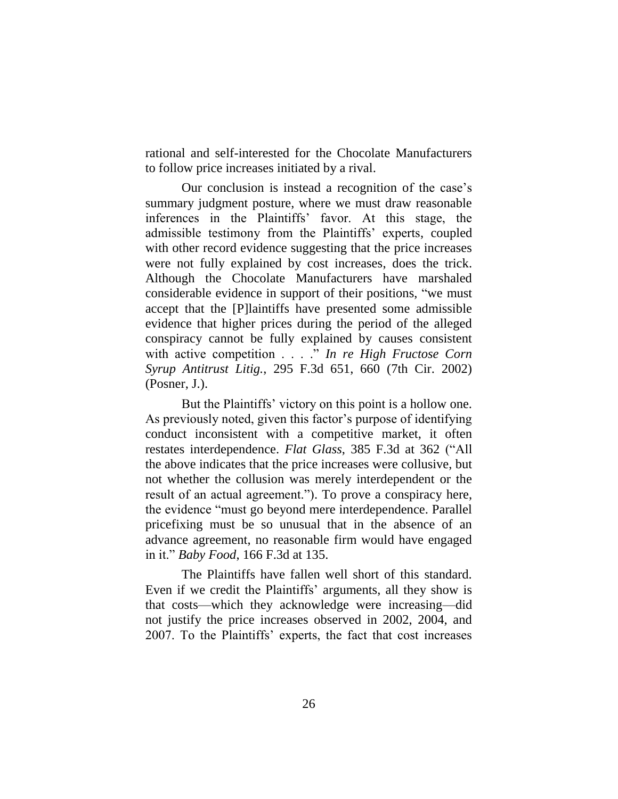rational and self-interested for the Chocolate Manufacturers to follow price increases initiated by a rival.

Our conclusion is instead a recognition of the case's summary judgment posture, where we must draw reasonable inferences in the Plaintiffs' favor. At this stage, the admissible testimony from the Plaintiffs' experts, coupled with other record evidence suggesting that the price increases were not fully explained by cost increases, does the trick. Although the Chocolate Manufacturers have marshaled considerable evidence in support of their positions, "we must accept that the [P]laintiffs have presented some admissible evidence that higher prices during the period of the alleged conspiracy cannot be fully explained by causes consistent with active competition . . . ." *In re High Fructose Corn Syrup Antitrust Litig.*, 295 F.3d 651, 660 (7th Cir. 2002) (Posner, J.).

But the Plaintiffs' victory on this point is a hollow one. As previously noted, given this factor's purpose of identifying conduct inconsistent with a competitive market, it often restates interdependence. *Flat Glass*, 385 F.3d at 362 ("All the above indicates that the price increases were collusive, but not whether the collusion was merely interdependent or the result of an actual agreement."). To prove a conspiracy here, the evidence "must go beyond mere interdependence. Parallel pricefixing must be so unusual that in the absence of an advance agreement, no reasonable firm would have engaged in it." *Baby Food*, 166 F.3d at 135.

The Plaintiffs have fallen well short of this standard. Even if we credit the Plaintiffs' arguments, all they show is that costs—which they acknowledge were increasing—did not justify the price increases observed in 2002, 2004, and 2007. To the Plaintiffs' experts, the fact that cost increases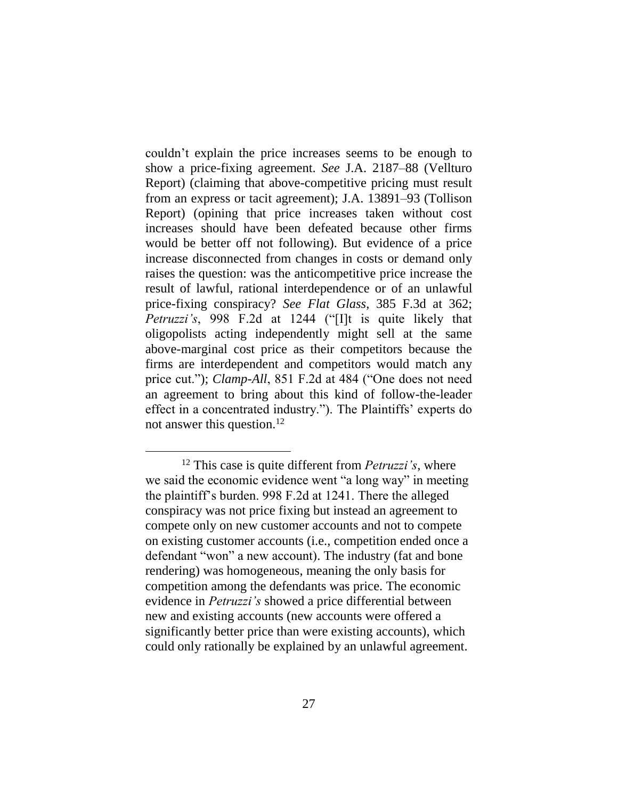couldn't explain the price increases seems to be enough to show a price-fixing agreement. *See* J.A. 2187–88 (Vellturo Report) (claiming that above-competitive pricing must result from an express or tacit agreement); J.A. 13891–93 (Tollison Report) (opining that price increases taken without cost increases should have been defeated because other firms would be better off not following). But evidence of a price increase disconnected from changes in costs or demand only raises the question: was the anticompetitive price increase the result of lawful, rational interdependence or of an unlawful price-fixing conspiracy? *See Flat Glass*, 385 F.3d at 362; *Petruzzi's*, 998 F.2d at 1244 ("[I]t is quite likely that oligopolists acting independently might sell at the same above-marginal cost price as their competitors because the firms are interdependent and competitors would match any price cut."); *Clamp-All*, 851 F.2d at 484 ("One does not need an agreement to bring about this kind of follow-the-leader effect in a concentrated industry."). The Plaintiffs' experts do not answer this question.<sup>12</sup>

<sup>12</sup> This case is quite different from *Petruzzi's*, where we said the economic evidence went "a long way" in meeting the plaintiff's burden. 998 F.2d at 1241. There the alleged conspiracy was not price fixing but instead an agreement to compete only on new customer accounts and not to compete on existing customer accounts (i.e., competition ended once a defendant "won" a new account). The industry (fat and bone rendering) was homogeneous, meaning the only basis for competition among the defendants was price. The economic evidence in *Petruzzi's* showed a price differential between new and existing accounts (new accounts were offered a significantly better price than were existing accounts), which could only rationally be explained by an unlawful agreement.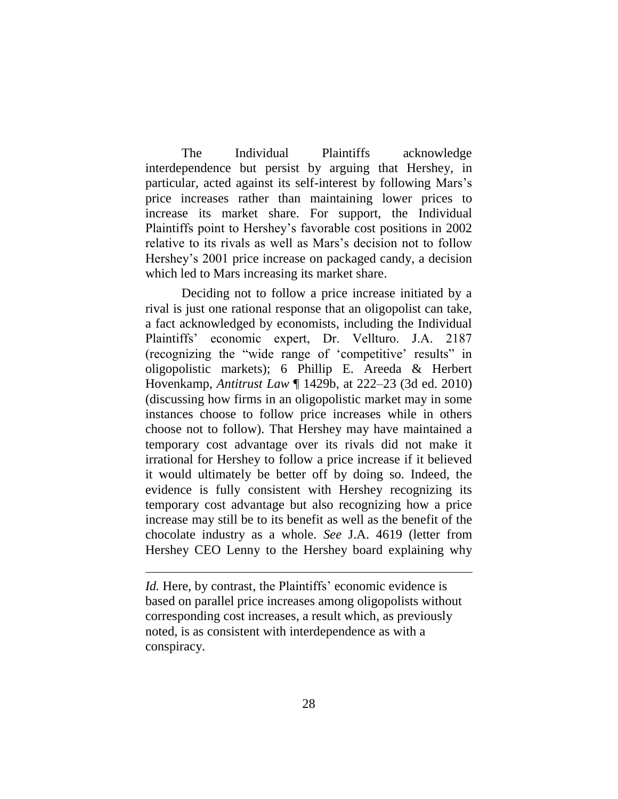The Individual Plaintiffs acknowledge interdependence but persist by arguing that Hershey, in particular, acted against its self-interest by following Mars's price increases rather than maintaining lower prices to increase its market share. For support, the Individual Plaintiffs point to Hershey's favorable cost positions in 2002 relative to its rivals as well as Mars's decision not to follow Hershey's 2001 price increase on packaged candy, a decision which led to Mars increasing its market share.

Deciding not to follow a price increase initiated by a rival is just one rational response that an oligopolist can take, a fact acknowledged by economists, including the Individual Plaintiffs' economic expert, Dr. Vellturo. J.A. 2187 (recognizing the "wide range of 'competitive' results" in oligopolistic markets); 6 Phillip E. Areeda & Herbert Hovenkamp, *Antitrust Law* ¶ 1429b, at 222–23 (3d ed. 2010) (discussing how firms in an oligopolistic market may in some instances choose to follow price increases while in others choose not to follow). That Hershey may have maintained a temporary cost advantage over its rivals did not make it irrational for Hershey to follow a price increase if it believed it would ultimately be better off by doing so. Indeed, the evidence is fully consistent with Hershey recognizing its temporary cost advantage but also recognizing how a price increase may still be to its benefit as well as the benefit of the chocolate industry as a whole. *See* J.A. 4619 (letter from Hershey CEO Lenny to the Hershey board explaining why

*Id.* Here, by contrast, the Plaintiffs' economic evidence is based on parallel price increases among oligopolists without corresponding cost increases, a result which, as previously noted, is as consistent with interdependence as with a conspiracy.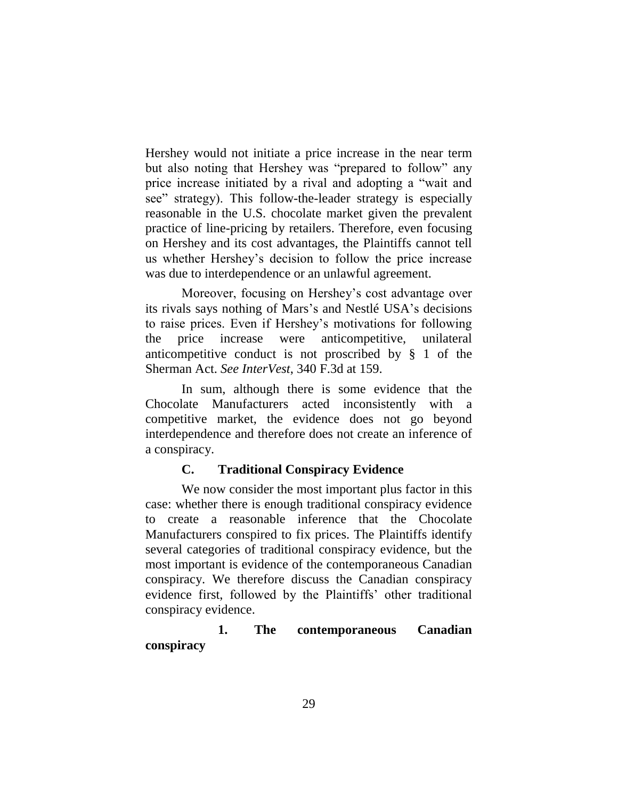Hershey would not initiate a price increase in the near term but also noting that Hershey was "prepared to follow" any price increase initiated by a rival and adopting a "wait and see" strategy). This follow-the-leader strategy is especially reasonable in the U.S. chocolate market given the prevalent practice of line-pricing by retailers. Therefore, even focusing on Hershey and its cost advantages, the Plaintiffs cannot tell us whether Hershey's decision to follow the price increase was due to interdependence or an unlawful agreement.

Moreover, focusing on Hershey's cost advantage over its rivals says nothing of Mars's and Nestlé USA's decisions to raise prices. Even if Hershey's motivations for following the price increase were anticompetitive, unilateral anticompetitive conduct is not proscribed by § 1 of the Sherman Act. *See InterVest*, 340 F.3d at 159.

In sum, although there is some evidence that the Chocolate Manufacturers acted inconsistently with a competitive market, the evidence does not go beyond interdependence and therefore does not create an inference of a conspiracy.

### **C. Traditional Conspiracy Evidence**

We now consider the most important plus factor in this case: whether there is enough traditional conspiracy evidence to create a reasonable inference that the Chocolate Manufacturers conspired to fix prices. The Plaintiffs identify several categories of traditional conspiracy evidence, but the most important is evidence of the contemporaneous Canadian conspiracy. We therefore discuss the Canadian conspiracy evidence first, followed by the Plaintiffs' other traditional conspiracy evidence.

## **1. The contemporaneous Canadian conspiracy**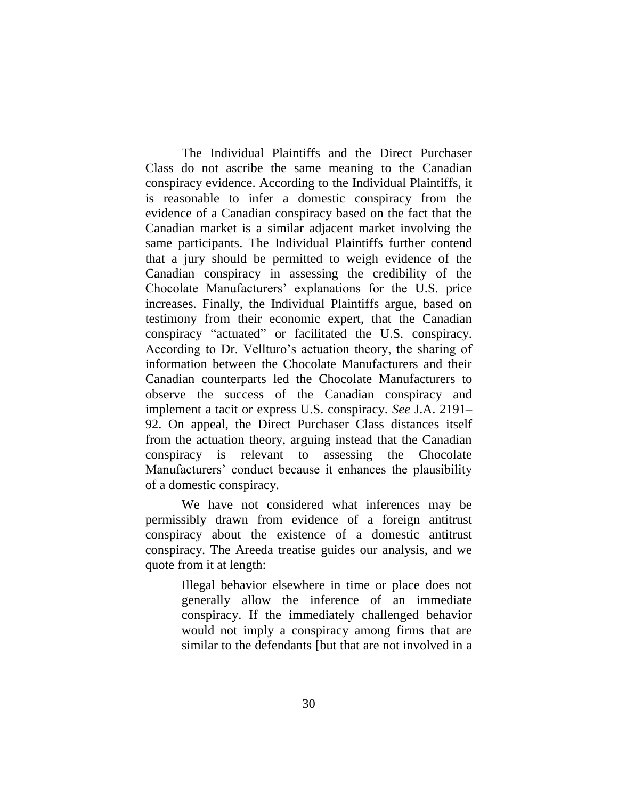The Individual Plaintiffs and the Direct Purchaser Class do not ascribe the same meaning to the Canadian conspiracy evidence. According to the Individual Plaintiffs, it is reasonable to infer a domestic conspiracy from the evidence of a Canadian conspiracy based on the fact that the Canadian market is a similar adjacent market involving the same participants. The Individual Plaintiffs further contend that a jury should be permitted to weigh evidence of the Canadian conspiracy in assessing the credibility of the Chocolate Manufacturers' explanations for the U.S. price increases. Finally, the Individual Plaintiffs argue, based on testimony from their economic expert, that the Canadian conspiracy "actuated" or facilitated the U.S. conspiracy. According to Dr. Vellturo's actuation theory, the sharing of information between the Chocolate Manufacturers and their Canadian counterparts led the Chocolate Manufacturers to observe the success of the Canadian conspiracy and implement a tacit or express U.S. conspiracy. *See* J.A. 2191– 92. On appeal, the Direct Purchaser Class distances itself from the actuation theory, arguing instead that the Canadian conspiracy is relevant to assessing the Chocolate Manufacturers' conduct because it enhances the plausibility of a domestic conspiracy.

We have not considered what inferences may be permissibly drawn from evidence of a foreign antitrust conspiracy about the existence of a domestic antitrust conspiracy. The Areeda treatise guides our analysis, and we quote from it at length:

> Illegal behavior elsewhere in time or place does not generally allow the inference of an immediate conspiracy. If the immediately challenged behavior would not imply a conspiracy among firms that are similar to the defendants [but that are not involved in a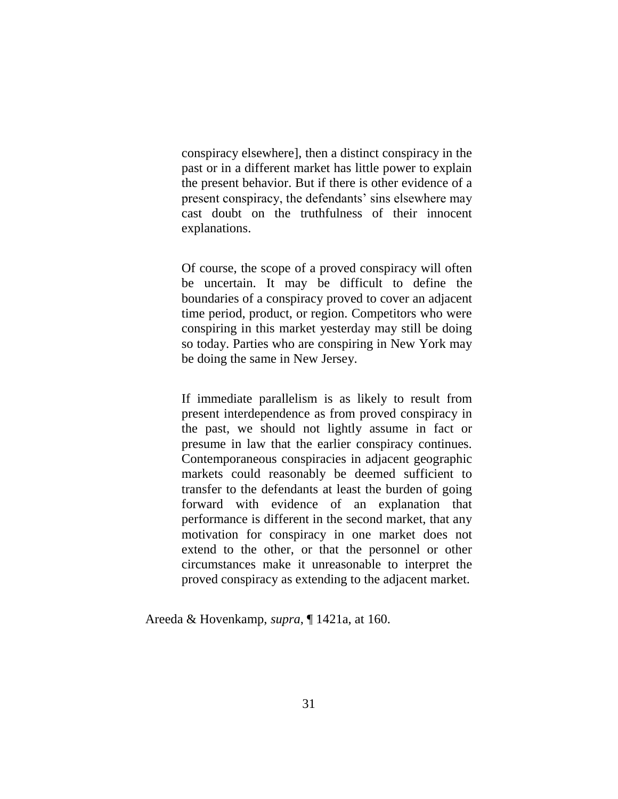conspiracy elsewhere], then a distinct conspiracy in the past or in a different market has little power to explain the present behavior. But if there is other evidence of a present conspiracy, the defendants' sins elsewhere may cast doubt on the truthfulness of their innocent explanations.

Of course, the scope of a proved conspiracy will often be uncertain. It may be difficult to define the boundaries of a conspiracy proved to cover an adjacent time period, product, or region. Competitors who were conspiring in this market yesterday may still be doing so today. Parties who are conspiring in New York may be doing the same in New Jersey.

If immediate parallelism is as likely to result from present interdependence as from proved conspiracy in the past, we should not lightly assume in fact or presume in law that the earlier conspiracy continues. Contemporaneous conspiracies in adjacent geographic markets could reasonably be deemed sufficient to transfer to the defendants at least the burden of going forward with evidence of an explanation that performance is different in the second market, that any motivation for conspiracy in one market does not extend to the other, or that the personnel or other circumstances make it unreasonable to interpret the proved conspiracy as extending to the adjacent market.

Areeda & Hovenkamp, *supra*, ¶ 1421a, at 160.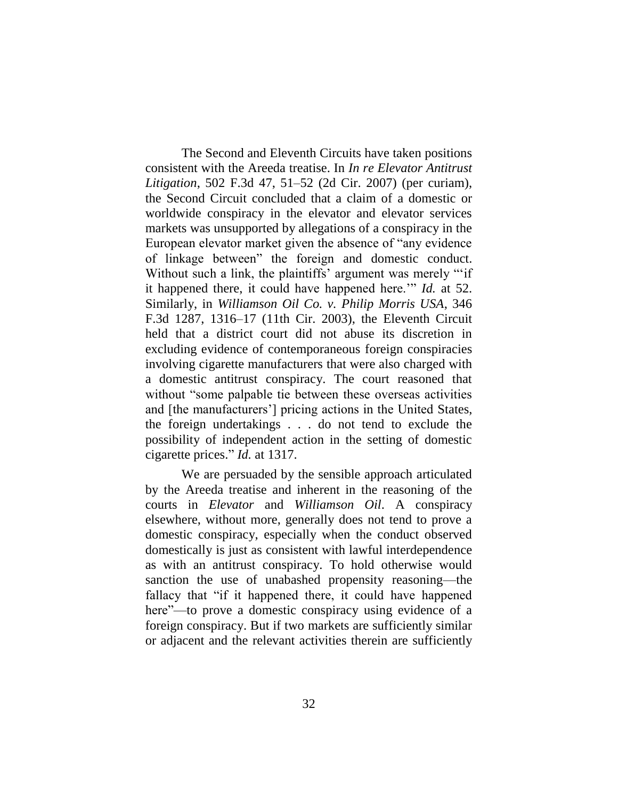The Second and Eleventh Circuits have taken positions consistent with the Areeda treatise. In *In re Elevator Antitrust Litigation*, 502 F.3d 47, 51–52 (2d Cir. 2007) (per curiam), the Second Circuit concluded that a claim of a domestic or worldwide conspiracy in the elevator and elevator services markets was unsupported by allegations of a conspiracy in the European elevator market given the absence of "any evidence of linkage between" the foreign and domestic conduct. Without such a link, the plaintiffs' argument was merely ""if" it happened there, it could have happened here.'" *Id.* at 52. Similarly, in *Williamson Oil Co. v. Philip Morris USA*, 346 F.3d 1287, 1316–17 (11th Cir. 2003), the Eleventh Circuit held that a district court did not abuse its discretion in excluding evidence of contemporaneous foreign conspiracies involving cigarette manufacturers that were also charged with a domestic antitrust conspiracy. The court reasoned that without "some palpable tie between these overseas activities and [the manufacturers'] pricing actions in the United States, the foreign undertakings . . . do not tend to exclude the possibility of independent action in the setting of domestic cigarette prices." *Id.* at 1317.

We are persuaded by the sensible approach articulated by the Areeda treatise and inherent in the reasoning of the courts in *Elevator* and *Williamson Oil*. A conspiracy elsewhere, without more, generally does not tend to prove a domestic conspiracy, especially when the conduct observed domestically is just as consistent with lawful interdependence as with an antitrust conspiracy. To hold otherwise would sanction the use of unabashed propensity reasoning—the fallacy that "if it happened there, it could have happened here"—to prove a domestic conspiracy using evidence of a foreign conspiracy. But if two markets are sufficiently similar or adjacent and the relevant activities therein are sufficiently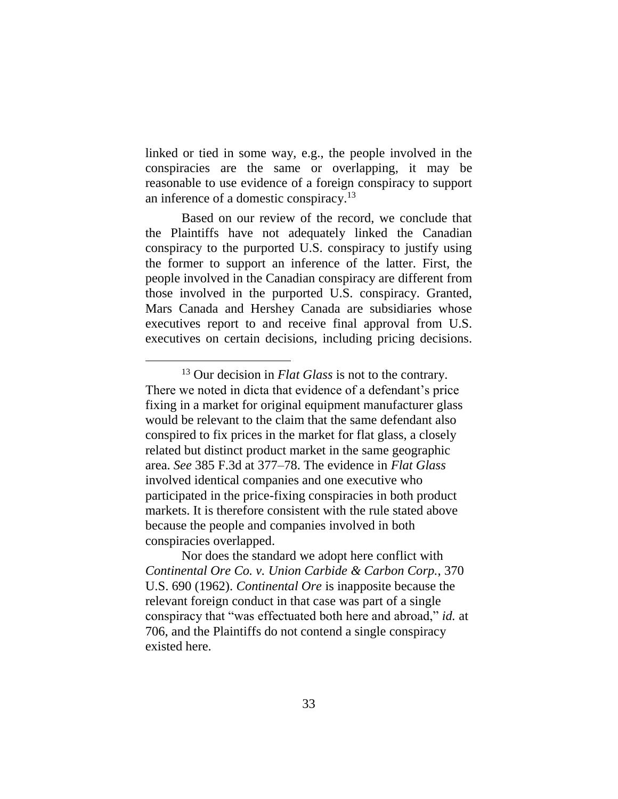linked or tied in some way, e.g., the people involved in the conspiracies are the same or overlapping, it may be reasonable to use evidence of a foreign conspiracy to support an inference of a domestic conspiracy.<sup>13</sup>

Based on our review of the record, we conclude that the Plaintiffs have not adequately linked the Canadian conspiracy to the purported U.S. conspiracy to justify using the former to support an inference of the latter. First, the people involved in the Canadian conspiracy are different from those involved in the purported U.S. conspiracy. Granted, Mars Canada and Hershey Canada are subsidiaries whose executives report to and receive final approval from U.S. executives on certain decisions, including pricing decisions.

Nor does the standard we adopt here conflict with *Continental Ore Co. v. Union Carbide & Carbon Corp.*, 370 U.S. 690 (1962). *Continental Ore* is inapposite because the relevant foreign conduct in that case was part of a single conspiracy that "was effectuated both here and abroad," *id.* at 706, and the Plaintiffs do not contend a single conspiracy existed here.

<sup>13</sup> Our decision in *Flat Glass* is not to the contrary. There we noted in dicta that evidence of a defendant's price fixing in a market for original equipment manufacturer glass would be relevant to the claim that the same defendant also conspired to fix prices in the market for flat glass, a closely related but distinct product market in the same geographic area. *See* 385 F.3d at 377–78. The evidence in *Flat Glass* involved identical companies and one executive who participated in the price-fixing conspiracies in both product markets. It is therefore consistent with the rule stated above because the people and companies involved in both conspiracies overlapped.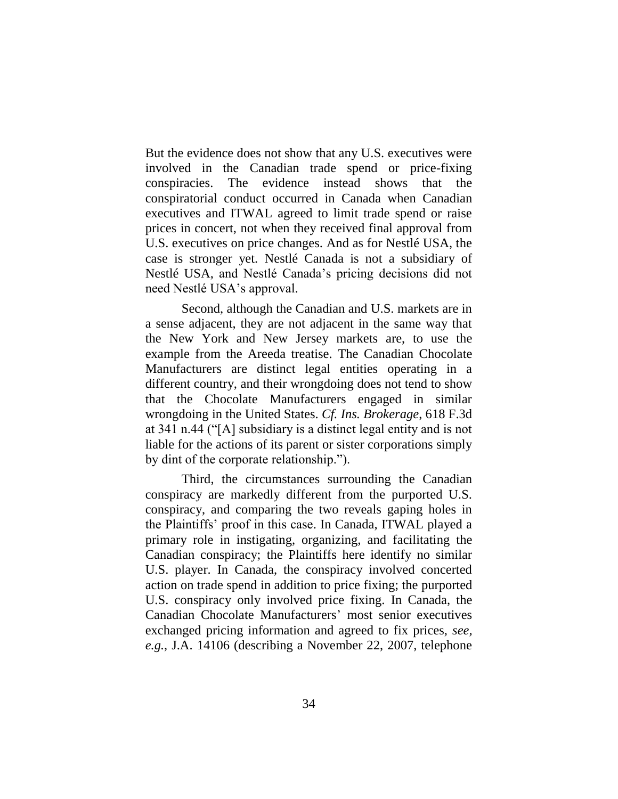But the evidence does not show that any U.S. executives were involved in the Canadian trade spend or price-fixing conspiracies. The evidence instead shows that the conspiratorial conduct occurred in Canada when Canadian executives and ITWAL agreed to limit trade spend or raise prices in concert, not when they received final approval from U.S. executives on price changes. And as for Nestlé USA, the case is stronger yet. Nestlé Canada is not a subsidiary of Nestlé USA, and Nestlé Canada's pricing decisions did not need Nestlé USA's approval.

Second, although the Canadian and U.S. markets are in a sense adjacent, they are not adjacent in the same way that the New York and New Jersey markets are, to use the example from the Areeda treatise. The Canadian Chocolate Manufacturers are distinct legal entities operating in a different country, and their wrongdoing does not tend to show that the Chocolate Manufacturers engaged in similar wrongdoing in the United States. *Cf. Ins. Brokerage*, 618 F.3d at 341 n.44 ("[A] subsidiary is a distinct legal entity and is not liable for the actions of its parent or sister corporations simply by dint of the corporate relationship.").

Third, the circumstances surrounding the Canadian conspiracy are markedly different from the purported U.S. conspiracy, and comparing the two reveals gaping holes in the Plaintiffs' proof in this case. In Canada, ITWAL played a primary role in instigating, organizing, and facilitating the Canadian conspiracy; the Plaintiffs here identify no similar U.S. player. In Canada, the conspiracy involved concerted action on trade spend in addition to price fixing; the purported U.S. conspiracy only involved price fixing. In Canada, the Canadian Chocolate Manufacturers' most senior executives exchanged pricing information and agreed to fix prices, *see, e.g.*, J.A. 14106 (describing a November 22, 2007, telephone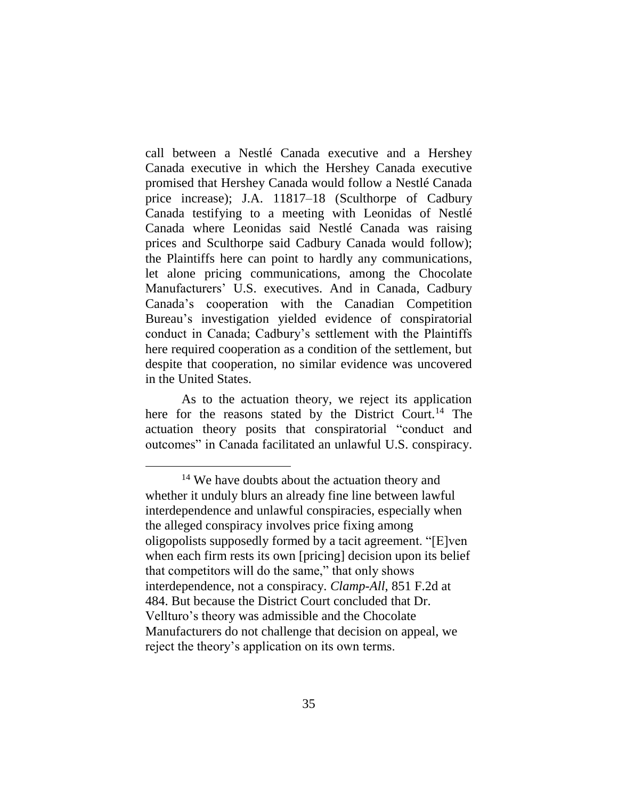call between a Nestlé Canada executive and a Hershey Canada executive in which the Hershey Canada executive promised that Hershey Canada would follow a Nestlé Canada price increase); J.A. 11817–18 (Sculthorpe of Cadbury Canada testifying to a meeting with Leonidas of Nestlé Canada where Leonidas said Nestlé Canada was raising prices and Sculthorpe said Cadbury Canada would follow); the Plaintiffs here can point to hardly any communications, let alone pricing communications, among the Chocolate Manufacturers' U.S. executives. And in Canada, Cadbury Canada's cooperation with the Canadian Competition Bureau's investigation yielded evidence of conspiratorial conduct in Canada; Cadbury's settlement with the Plaintiffs here required cooperation as a condition of the settlement, but despite that cooperation, no similar evidence was uncovered in the United States.

As to the actuation theory, we reject its application here for the reasons stated by the District Court.<sup>14</sup> The actuation theory posits that conspiratorial "conduct and outcomes" in Canada facilitated an unlawful U.S. conspiracy.

<sup>&</sup>lt;sup>14</sup> We have doubts about the actuation theory and whether it unduly blurs an already fine line between lawful interdependence and unlawful conspiracies, especially when the alleged conspiracy involves price fixing among oligopolists supposedly formed by a tacit agreement. "[E]ven when each firm rests its own [pricing] decision upon its belief that competitors will do the same," that only shows interdependence, not a conspiracy. *Clamp-All*, 851 F.2d at 484. But because the District Court concluded that Dr. Vellturo's theory was admissible and the Chocolate Manufacturers do not challenge that decision on appeal, we reject the theory's application on its own terms.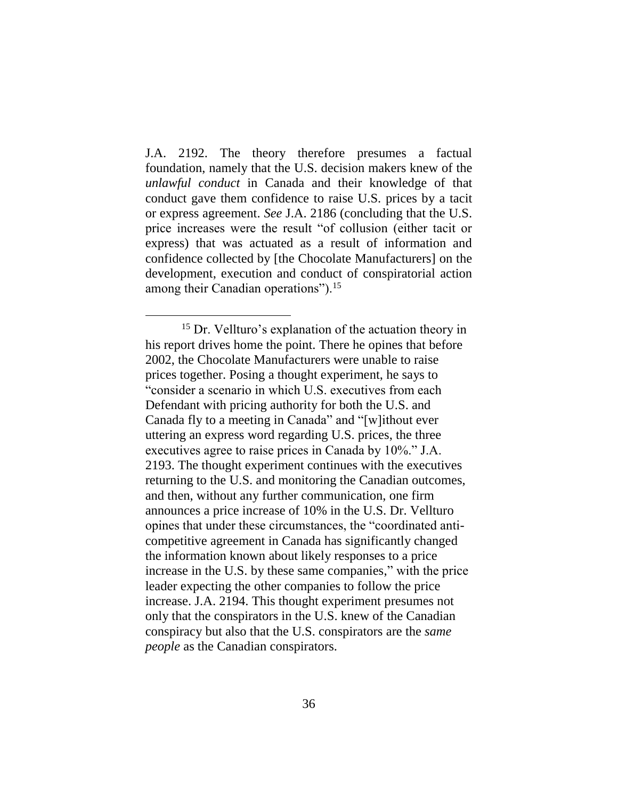J.A. 2192. The theory therefore presumes a factual foundation, namely that the U.S. decision makers knew of the *unlawful conduct* in Canada and their knowledge of that conduct gave them confidence to raise U.S. prices by a tacit or express agreement. *See* J.A. 2186 (concluding that the U.S. price increases were the result "of collusion (either tacit or express) that was actuated as a result of information and confidence collected by [the Chocolate Manufacturers] on the development, execution and conduct of conspiratorial action among their Canadian operations").<sup>15</sup>

 $\overline{a}$ 

<sup>15</sup> Dr. Vellturo's explanation of the actuation theory in his report drives home the point. There he opines that before 2002, the Chocolate Manufacturers were unable to raise prices together. Posing a thought experiment, he says to "consider a scenario in which U.S. executives from each Defendant with pricing authority for both the U.S. and Canada fly to a meeting in Canada" and "[w]ithout ever uttering an express word regarding U.S. prices, the three executives agree to raise prices in Canada by 10%." J.A. 2193. The thought experiment continues with the executives returning to the U.S. and monitoring the Canadian outcomes, and then, without any further communication, one firm announces a price increase of 10% in the U.S. Dr. Vellturo opines that under these circumstances, the "coordinated anticompetitive agreement in Canada has significantly changed the information known about likely responses to a price increase in the U.S. by these same companies," with the price leader expecting the other companies to follow the price increase. J.A. 2194. This thought experiment presumes not only that the conspirators in the U.S. knew of the Canadian conspiracy but also that the U.S. conspirators are the *same people* as the Canadian conspirators.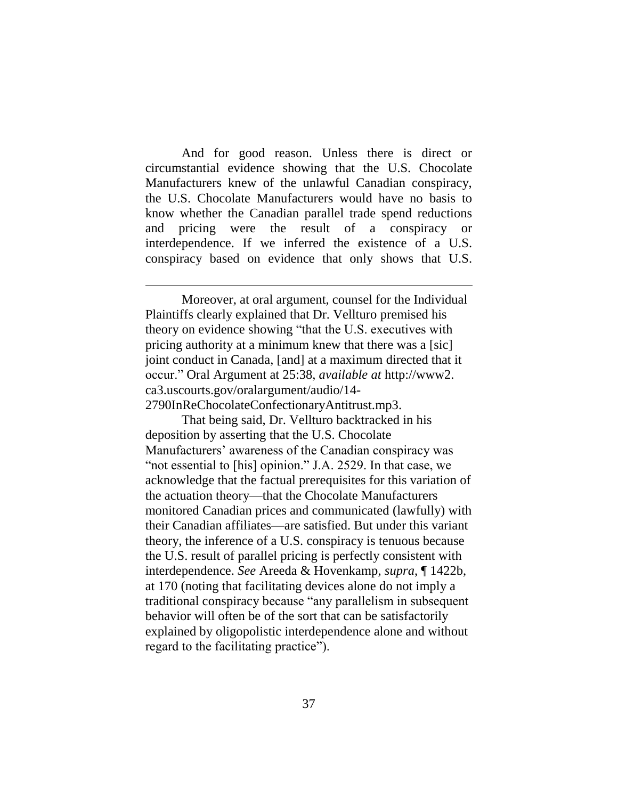And for good reason. Unless there is direct or circumstantial evidence showing that the U.S. Chocolate Manufacturers knew of the unlawful Canadian conspiracy, the U.S. Chocolate Manufacturers would have no basis to know whether the Canadian parallel trade spend reductions and pricing were the result of a conspiracy or interdependence. If we inferred the existence of a U.S. conspiracy based on evidence that only shows that U.S.

Moreover, at oral argument, counsel for the Individual Plaintiffs clearly explained that Dr. Vellturo premised his theory on evidence showing "that the U.S. executives with pricing authority at a minimum knew that there was a [sic] joint conduct in Canada, [and] at a maximum directed that it occur." Oral Argument at 25:38, *available at* http://www2. ca3.uscourts.gov/oralargument/audio/14- 2790InReChocolateConfectionaryAntitrust.mp3.

 $\overline{a}$ 

That being said, Dr. Vellturo backtracked in his deposition by asserting that the U.S. Chocolate Manufacturers' awareness of the Canadian conspiracy was "not essential to [his] opinion." J.A. 2529. In that case, we acknowledge that the factual prerequisites for this variation of the actuation theory—that the Chocolate Manufacturers monitored Canadian prices and communicated (lawfully) with their Canadian affiliates—are satisfied. But under this variant theory, the inference of a U.S. conspiracy is tenuous because the U.S. result of parallel pricing is perfectly consistent with interdependence. *See* Areeda & Hovenkamp, *supra*, ¶ 1422b, at 170 (noting that facilitating devices alone do not imply a traditional conspiracy because "any parallelism in subsequent behavior will often be of the sort that can be satisfactorily explained by oligopolistic interdependence alone and without regard to the facilitating practice").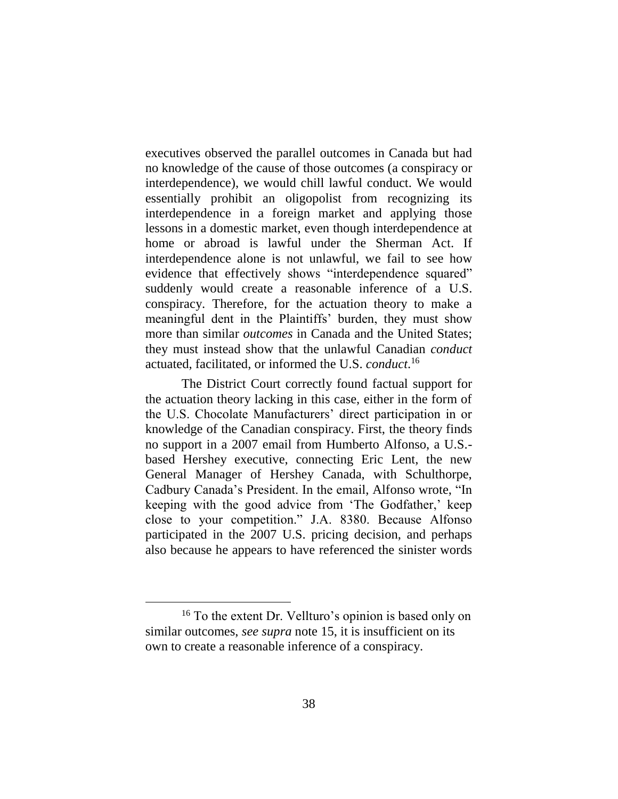executives observed the parallel outcomes in Canada but had no knowledge of the cause of those outcomes (a conspiracy or interdependence), we would chill lawful conduct. We would essentially prohibit an oligopolist from recognizing its interdependence in a foreign market and applying those lessons in a domestic market, even though interdependence at home or abroad is lawful under the Sherman Act. If interdependence alone is not unlawful, we fail to see how evidence that effectively shows "interdependence squared" suddenly would create a reasonable inference of a U.S. conspiracy. Therefore, for the actuation theory to make a meaningful dent in the Plaintiffs' burden, they must show more than similar *outcomes* in Canada and the United States; they must instead show that the unlawful Canadian *conduct* actuated, facilitated, or informed the U.S. *conduct*. 16

The District Court correctly found factual support for the actuation theory lacking in this case, either in the form of the U.S. Chocolate Manufacturers' direct participation in or knowledge of the Canadian conspiracy. First, the theory finds no support in a 2007 email from Humberto Alfonso, a U.S. based Hershey executive, connecting Eric Lent, the new General Manager of Hershey Canada, with Schulthorpe, Cadbury Canada's President. In the email, Alfonso wrote, "In keeping with the good advice from 'The Godfather,' keep close to your competition." J.A. 8380. Because Alfonso participated in the 2007 U.S. pricing decision, and perhaps also because he appears to have referenced the sinister words

 $\overline{a}$ 

<sup>16</sup> To the extent Dr. Vellturo's opinion is based only on similar outcomes, *see supra* note 15, it is insufficient on its own to create a reasonable inference of a conspiracy.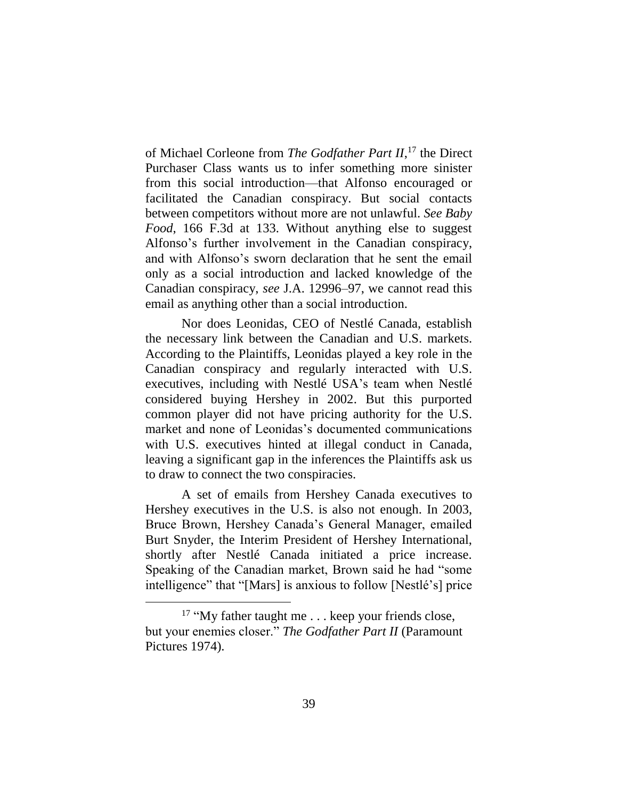of Michael Corleone from *The Godfather Part II*, <sup>17</sup> the Direct Purchaser Class wants us to infer something more sinister from this social introduction—that Alfonso encouraged or facilitated the Canadian conspiracy. But social contacts between competitors without more are not unlawful. *See Baby Food*, 166 F.3d at 133. Without anything else to suggest Alfonso's further involvement in the Canadian conspiracy, and with Alfonso's sworn declaration that he sent the email only as a social introduction and lacked knowledge of the Canadian conspiracy, *see* J.A. 12996–97, we cannot read this email as anything other than a social introduction.

Nor does Leonidas, CEO of Nestlé Canada, establish the necessary link between the Canadian and U.S. markets. According to the Plaintiffs, Leonidas played a key role in the Canadian conspiracy and regularly interacted with U.S. executives, including with Nestlé USA's team when Nestlé considered buying Hershey in 2002. But this purported common player did not have pricing authority for the U.S. market and none of Leonidas's documented communications with U.S. executives hinted at illegal conduct in Canada, leaving a significant gap in the inferences the Plaintiffs ask us to draw to connect the two conspiracies.

A set of emails from Hershey Canada executives to Hershey executives in the U.S. is also not enough. In 2003, Bruce Brown, Hershey Canada's General Manager, emailed Burt Snyder, the Interim President of Hershey International, shortly after Nestlé Canada initiated a price increase. Speaking of the Canadian market, Brown said he had "some intelligence" that "[Mars] is anxious to follow [Nestlé's] price

 $\overline{a}$ 

<sup>&</sup>lt;sup>17</sup> "My father taught me . . . keep your friends close, but your enemies closer." *The Godfather Part II* (Paramount Pictures 1974).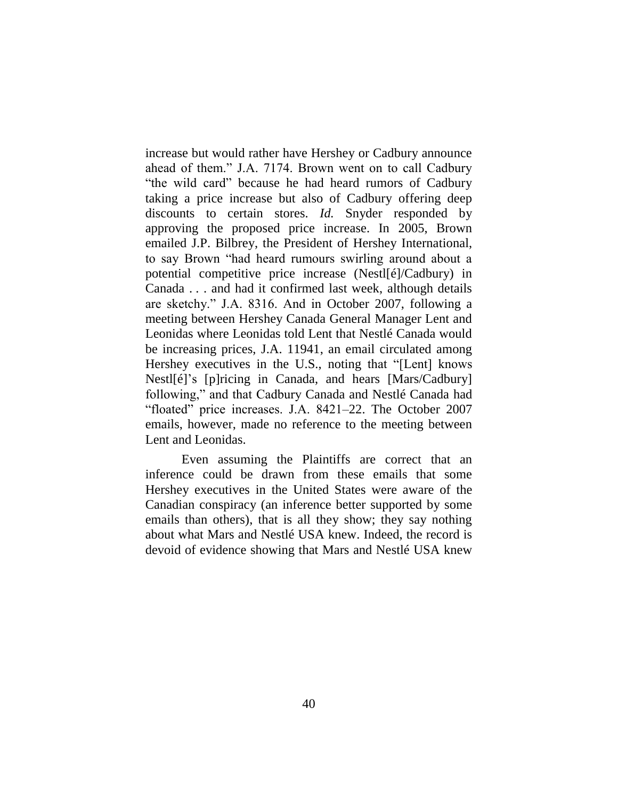increase but would rather have Hershey or Cadbury announce ahead of them." J.A. 7174. Brown went on to call Cadbury "the wild card" because he had heard rumors of Cadbury taking a price increase but also of Cadbury offering deep discounts to certain stores. *Id.* Snyder responded by approving the proposed price increase. In 2005, Brown emailed J.P. Bilbrey, the President of Hershey International, to say Brown "had heard rumours swirling around about a potential competitive price increase (Nestl[é]/Cadbury) in Canada . . . and had it confirmed last week, although details are sketchy." J.A. 8316. And in October 2007, following a meeting between Hershey Canada General Manager Lent and Leonidas where Leonidas told Lent that Nestlé Canada would be increasing prices, J.A. 11941, an email circulated among Hershey executives in the U.S., noting that "[Lent] knows Nestl[é]'s [p]ricing in Canada, and hears [Mars/Cadbury] following," and that Cadbury Canada and Nestlé Canada had "floated" price increases. J.A. 8421–22. The October 2007 emails, however, made no reference to the meeting between Lent and Leonidas.

Even assuming the Plaintiffs are correct that an inference could be drawn from these emails that some Hershey executives in the United States were aware of the Canadian conspiracy (an inference better supported by some emails than others), that is all they show; they say nothing about what Mars and Nestlé USA knew. Indeed, the record is devoid of evidence showing that Mars and Nestlé USA knew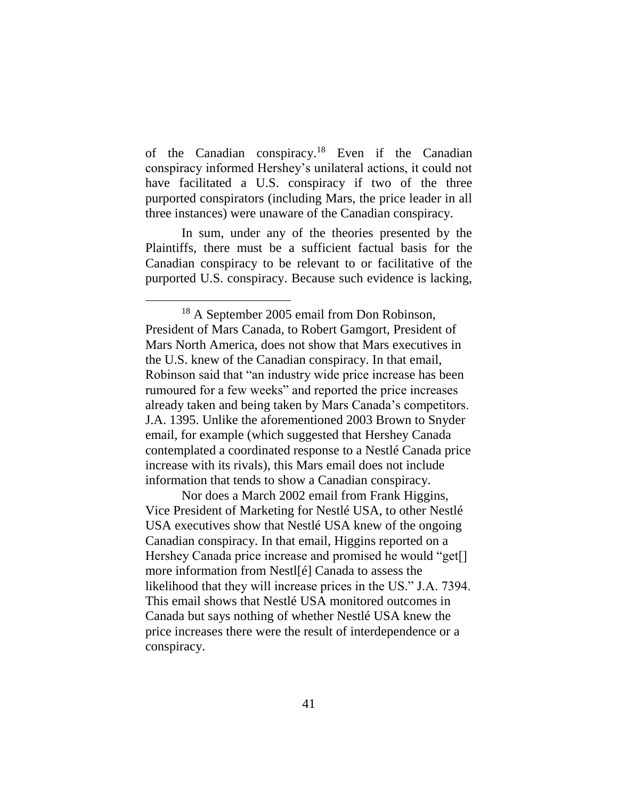of the Canadian conspiracy. <sup>18</sup> Even if the Canadian conspiracy informed Hershey's unilateral actions, it could not have facilitated a U.S. conspiracy if two of the three purported conspirators (including Mars, the price leader in all three instances) were unaware of the Canadian conspiracy.

In sum, under any of the theories presented by the Plaintiffs, there must be a sufficient factual basis for the Canadian conspiracy to be relevant to or facilitative of the purported U.S. conspiracy. Because such evidence is lacking,

 $\overline{a}$ 

Nor does a March 2002 email from Frank Higgins, Vice President of Marketing for Nestlé USA, to other Nestlé USA executives show that Nestlé USA knew of the ongoing Canadian conspiracy. In that email, Higgins reported on a Hershey Canada price increase and promised he would "get[] more information from Nestl[é] Canada to assess the likelihood that they will increase prices in the US." J.A. 7394. This email shows that Nestlé USA monitored outcomes in Canada but says nothing of whether Nestlé USA knew the price increases there were the result of interdependence or a conspiracy.

<sup>&</sup>lt;sup>18</sup> A September 2005 email from Don Robinson, President of Mars Canada, to Robert Gamgort, President of Mars North America, does not show that Mars executives in the U.S. knew of the Canadian conspiracy. In that email, Robinson said that "an industry wide price increase has been rumoured for a few weeks" and reported the price increases already taken and being taken by Mars Canada's competitors. J.A. 1395. Unlike the aforementioned 2003 Brown to Snyder email, for example (which suggested that Hershey Canada contemplated a coordinated response to a Nestlé Canada price increase with its rivals), this Mars email does not include information that tends to show a Canadian conspiracy.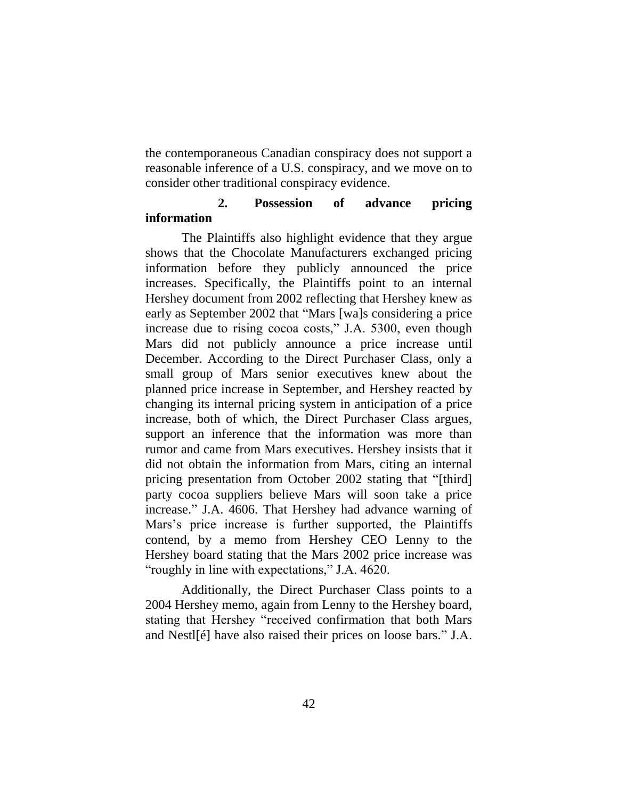the contemporaneous Canadian conspiracy does not support a reasonable inference of a U.S. conspiracy, and we move on to consider other traditional conspiracy evidence.

### **2. Possession of advance pricing information**

The Plaintiffs also highlight evidence that they argue shows that the Chocolate Manufacturers exchanged pricing information before they publicly announced the price increases. Specifically, the Plaintiffs point to an internal Hershey document from 2002 reflecting that Hershey knew as early as September 2002 that "Mars [wa]s considering a price increase due to rising cocoa costs," J.A. 5300, even though Mars did not publicly announce a price increase until December. According to the Direct Purchaser Class, only a small group of Mars senior executives knew about the planned price increase in September, and Hershey reacted by changing its internal pricing system in anticipation of a price increase, both of which, the Direct Purchaser Class argues, support an inference that the information was more than rumor and came from Mars executives. Hershey insists that it did not obtain the information from Mars, citing an internal pricing presentation from October 2002 stating that "[third] party cocoa suppliers believe Mars will soon take a price increase." J.A. 4606. That Hershey had advance warning of Mars's price increase is further supported, the Plaintiffs contend, by a memo from Hershey CEO Lenny to the Hershey board stating that the Mars 2002 price increase was "roughly in line with expectations," J.A. 4620.

Additionally, the Direct Purchaser Class points to a 2004 Hershey memo, again from Lenny to the Hershey board, stating that Hershey "received confirmation that both Mars and Nestl[é] have also raised their prices on loose bars." J.A.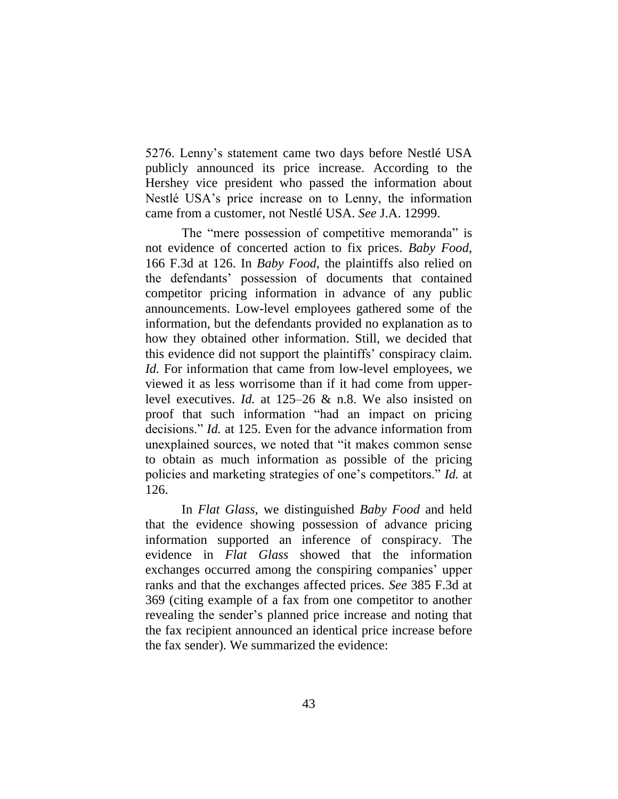5276. Lenny's statement came two days before Nestlé USA publicly announced its price increase. According to the Hershey vice president who passed the information about Nestlé USA's price increase on to Lenny, the information came from a customer, not Nestlé USA. *See* J.A. 12999.

The "mere possession of competitive memoranda" is not evidence of concerted action to fix prices. *Baby Food*, 166 F.3d at 126. In *Baby Food*, the plaintiffs also relied on the defendants' possession of documents that contained competitor pricing information in advance of any public announcements. Low-level employees gathered some of the information, but the defendants provided no explanation as to how they obtained other information. Still, we decided that this evidence did not support the plaintiffs' conspiracy claim. *Id.* For information that came from low-level employees, we viewed it as less worrisome than if it had come from upperlevel executives. *Id.* at 125–26 & n.8. We also insisted on proof that such information "had an impact on pricing decisions." *Id.* at 125. Even for the advance information from unexplained sources, we noted that "it makes common sense to obtain as much information as possible of the pricing policies and marketing strategies of one's competitors." *Id.* at 126.

In *Flat Glass*, we distinguished *Baby Food* and held that the evidence showing possession of advance pricing information supported an inference of conspiracy. The evidence in *Flat Glass* showed that the information exchanges occurred among the conspiring companies' upper ranks and that the exchanges affected prices. *See* 385 F.3d at 369 (citing example of a fax from one competitor to another revealing the sender's planned price increase and noting that the fax recipient announced an identical price increase before the fax sender). We summarized the evidence: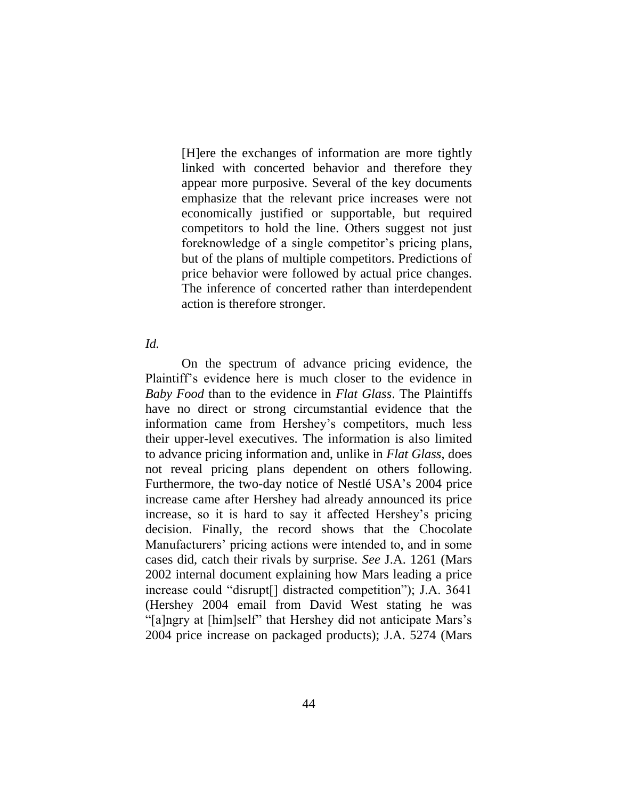[H]ere the exchanges of information are more tightly linked with concerted behavior and therefore they appear more purposive. Several of the key documents emphasize that the relevant price increases were not economically justified or supportable, but required competitors to hold the line. Others suggest not just foreknowledge of a single competitor's pricing plans, but of the plans of multiple competitors. Predictions of price behavior were followed by actual price changes. The inference of concerted rather than interdependent action is therefore stronger.

#### *Id.*

On the spectrum of advance pricing evidence, the Plaintiff's evidence here is much closer to the evidence in *Baby Food* than to the evidence in *Flat Glass*. The Plaintiffs have no direct or strong circumstantial evidence that the information came from Hershey's competitors, much less their upper-level executives. The information is also limited to advance pricing information and, unlike in *Flat Glass*, does not reveal pricing plans dependent on others following. Furthermore, the two-day notice of Nestlé USA's 2004 price increase came after Hershey had already announced its price increase, so it is hard to say it affected Hershey's pricing decision. Finally, the record shows that the Chocolate Manufacturers' pricing actions were intended to, and in some cases did, catch their rivals by surprise. *See* J.A. 1261 (Mars 2002 internal document explaining how Mars leading a price increase could "disrupt[] distracted competition"); J.A. 3641 (Hershey 2004 email from David West stating he was "[a]ngry at [him]self" that Hershey did not anticipate Mars's 2004 price increase on packaged products); J.A. 5274 (Mars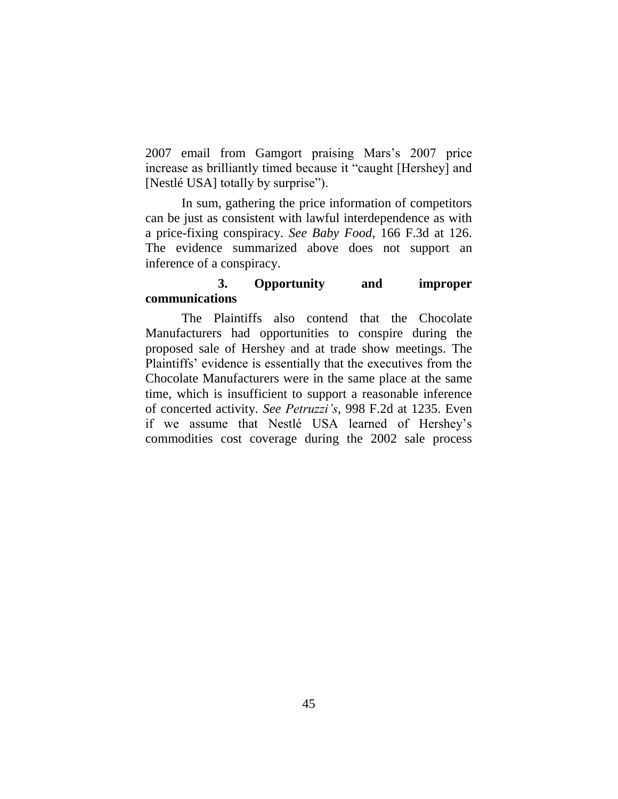2007 email from Gamgort praising Mars's 2007 price increase as brilliantly timed because it "caught [Hershey] and [Nestlé USA] totally by surprise").

In sum, gathering the price information of competitors can be just as consistent with lawful interdependence as with a price-fixing conspiracy. *See Baby Food*, 166 F.3d at 126. The evidence summarized above does not support an inference of a conspiracy.

## **3. Opportunity and improper communications**

The Plaintiffs also contend that the Chocolate Manufacturers had opportunities to conspire during the proposed sale of Hershey and at trade show meetings. The Plaintiffs' evidence is essentially that the executives from the Chocolate Manufacturers were in the same place at the same time, which is insufficient to support a reasonable inference of concerted activity. *See Petruzzi's*, 998 F.2d at 1235. Even if we assume that Nestlé USA learned of Hershey's commodities cost coverage during the 2002 sale process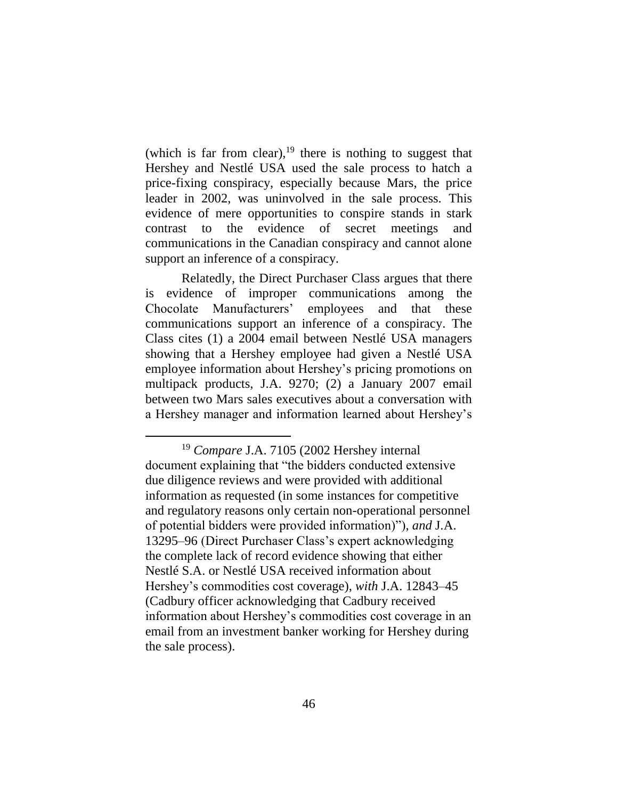(which is far from clear), $19$  there is nothing to suggest that Hershey and Nestlé USA used the sale process to hatch a price-fixing conspiracy, especially because Mars, the price leader in 2002, was uninvolved in the sale process. This evidence of mere opportunities to conspire stands in stark contrast to the evidence of secret meetings and communications in the Canadian conspiracy and cannot alone support an inference of a conspiracy.

Relatedly, the Direct Purchaser Class argues that there is evidence of improper communications among the Chocolate Manufacturers' employees and that these communications support an inference of a conspiracy. The Class cites (1) a 2004 email between Nestlé USA managers showing that a Hershey employee had given a Nestlé USA employee information about Hershey's pricing promotions on multipack products, J.A. 9270; (2) a January 2007 email between two Mars sales executives about a conversation with a Hershey manager and information learned about Hershey's

<sup>19</sup> *Compare* J.A. 7105 (2002 Hershey internal document explaining that "the bidders conducted extensive due diligence reviews and were provided with additional information as requested (in some instances for competitive and regulatory reasons only certain non-operational personnel of potential bidders were provided information)"), *and* J.A. 13295–96 (Direct Purchaser Class's expert acknowledging the complete lack of record evidence showing that either Nestlé S.A. or Nestlé USA received information about Hershey's commodities cost coverage), *with* J.A. 12843–45 (Cadbury officer acknowledging that Cadbury received information about Hershey's commodities cost coverage in an email from an investment banker working for Hershey during the sale process).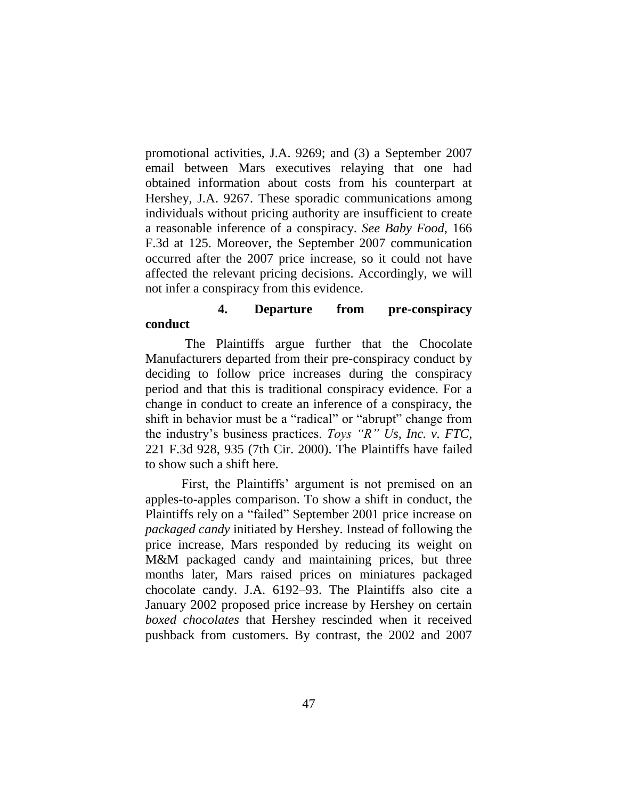promotional activities, J.A. 9269; and (3) a September 2007 email between Mars executives relaying that one had obtained information about costs from his counterpart at Hershey, J.A. 9267. These sporadic communications among individuals without pricing authority are insufficient to create a reasonable inference of a conspiracy. *See Baby Food*, 166 F.3d at 125. Moreover, the September 2007 communication occurred after the 2007 price increase, so it could not have affected the relevant pricing decisions. Accordingly, we will not infer a conspiracy from this evidence.

### **4. Departure from pre-conspiracy conduct**

The Plaintiffs argue further that the Chocolate Manufacturers departed from their pre-conspiracy conduct by deciding to follow price increases during the conspiracy period and that this is traditional conspiracy evidence. For a change in conduct to create an inference of a conspiracy, the shift in behavior must be a "radical" or "abrupt" change from the industry's business practices. *Toys "R" Us, Inc. v. FTC*, 221 F.3d 928, 935 (7th Cir. 2000). The Plaintiffs have failed to show such a shift here.

First, the Plaintiffs' argument is not premised on an apples-to-apples comparison. To show a shift in conduct, the Plaintiffs rely on a "failed" September 2001 price increase on *packaged candy* initiated by Hershey. Instead of following the price increase, Mars responded by reducing its weight on M&M packaged candy and maintaining prices, but three months later, Mars raised prices on miniatures packaged chocolate candy. J.A. 6192–93. The Plaintiffs also cite a January 2002 proposed price increase by Hershey on certain *boxed chocolates* that Hershey rescinded when it received pushback from customers. By contrast, the 2002 and 2007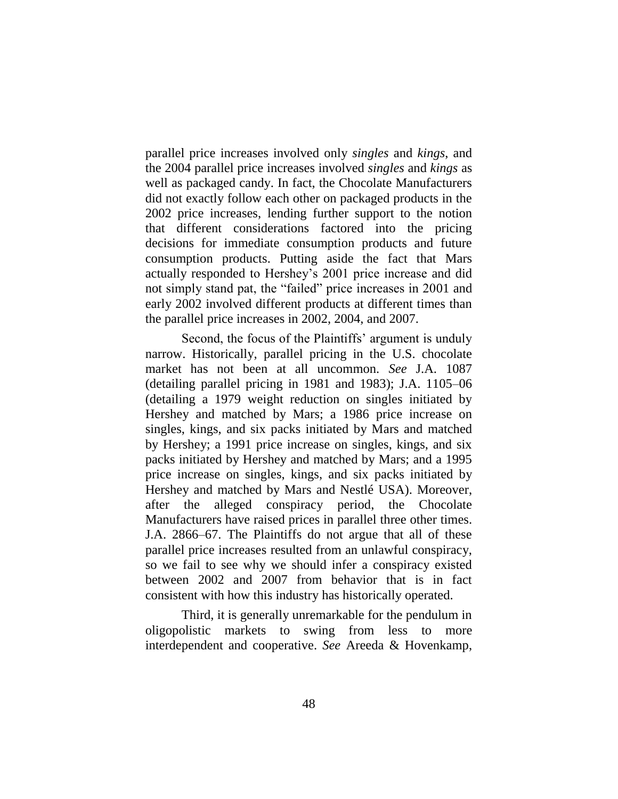parallel price increases involved only *singles* and *kings*, and the 2004 parallel price increases involved *singles* and *kings* as well as packaged candy. In fact, the Chocolate Manufacturers did not exactly follow each other on packaged products in the 2002 price increases, lending further support to the notion that different considerations factored into the pricing decisions for immediate consumption products and future consumption products. Putting aside the fact that Mars actually responded to Hershey's 2001 price increase and did not simply stand pat, the "failed" price increases in 2001 and early 2002 involved different products at different times than the parallel price increases in 2002, 2004, and 2007.

Second, the focus of the Plaintiffs' argument is unduly narrow. Historically, parallel pricing in the U.S. chocolate market has not been at all uncommon. *See* J.A. 1087 (detailing parallel pricing in 1981 and 1983); J.A. 1105–06 (detailing a 1979 weight reduction on singles initiated by Hershey and matched by Mars; a 1986 price increase on singles, kings, and six packs initiated by Mars and matched by Hershey; a 1991 price increase on singles, kings, and six packs initiated by Hershey and matched by Mars; and a 1995 price increase on singles, kings, and six packs initiated by Hershey and matched by Mars and Nestlé USA). Moreover, after the alleged conspiracy period, the Chocolate Manufacturers have raised prices in parallel three other times. J.A. 2866–67. The Plaintiffs do not argue that all of these parallel price increases resulted from an unlawful conspiracy, so we fail to see why we should infer a conspiracy existed between 2002 and 2007 from behavior that is in fact consistent with how this industry has historically operated.

Third, it is generally unremarkable for the pendulum in oligopolistic markets to swing from less to more interdependent and cooperative. *See* Areeda & Hovenkamp,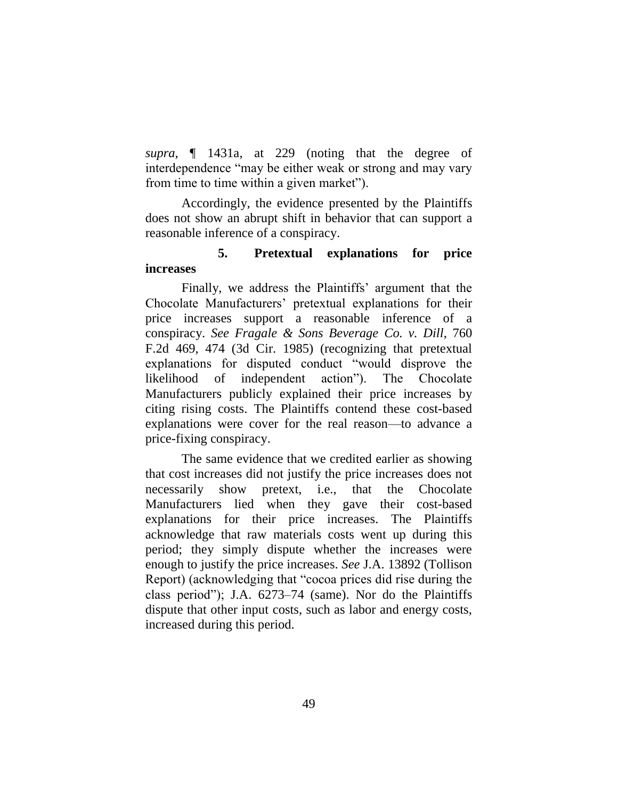*supra*, ¶ 1431a, at 229 (noting that the degree of interdependence "may be either weak or strong and may vary from time to time within a given market").

Accordingly, the evidence presented by the Plaintiffs does not show an abrupt shift in behavior that can support a reasonable inference of a conspiracy.

## **5. Pretextual explanations for price increases**

Finally, we address the Plaintiffs' argument that the Chocolate Manufacturers' pretextual explanations for their price increases support a reasonable inference of a conspiracy. *See Fragale & Sons Beverage Co. v. Dill*, 760 F.2d 469, 474 (3d Cir. 1985) (recognizing that pretextual explanations for disputed conduct "would disprove the likelihood of independent action"). The Chocolate Manufacturers publicly explained their price increases by citing rising costs. The Plaintiffs contend these cost-based explanations were cover for the real reason—to advance a price-fixing conspiracy.

The same evidence that we credited earlier as showing that cost increases did not justify the price increases does not necessarily show pretext, i.e., that the Chocolate Manufacturers lied when they gave their cost-based explanations for their price increases. The Plaintiffs acknowledge that raw materials costs went up during this period; they simply dispute whether the increases were enough to justify the price increases. *See* J.A. 13892 (Tollison Report) (acknowledging that "cocoa prices did rise during the class period"); J.A. 6273–74 (same). Nor do the Plaintiffs dispute that other input costs, such as labor and energy costs, increased during this period.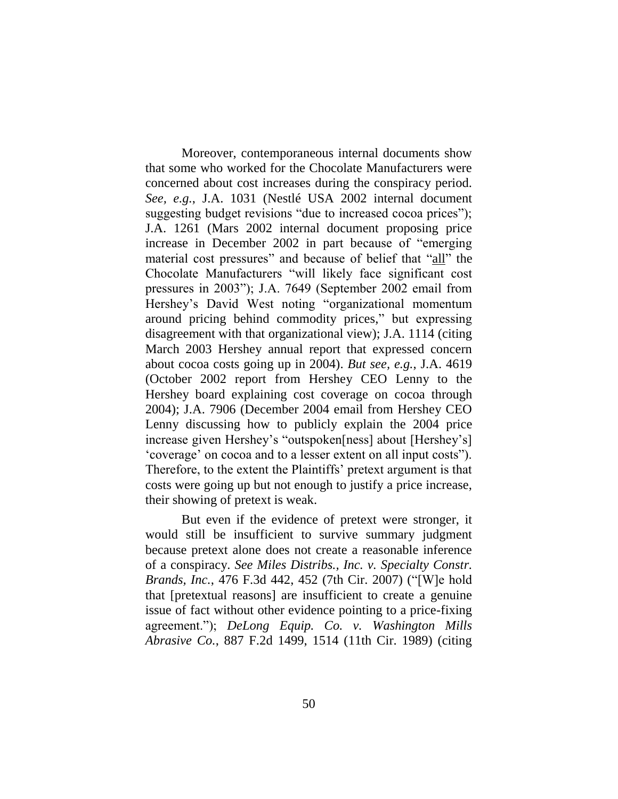Moreover, contemporaneous internal documents show that some who worked for the Chocolate Manufacturers were concerned about cost increases during the conspiracy period. *See, e.g.*, J.A. 1031 (Nestlé USA 2002 internal document suggesting budget revisions "due to increased cocoa prices"); J.A. 1261 (Mars 2002 internal document proposing price increase in December 2002 in part because of "emerging material cost pressures" and because of belief that "all" the Chocolate Manufacturers "will likely face significant cost pressures in 2003"); J.A. 7649 (September 2002 email from Hershey's David West noting "organizational momentum around pricing behind commodity prices," but expressing disagreement with that organizational view); J.A. 1114 (citing March 2003 Hershey annual report that expressed concern about cocoa costs going up in 2004). *But see, e.g.*, J.A. 4619 (October 2002 report from Hershey CEO Lenny to the Hershey board explaining cost coverage on cocoa through 2004); J.A. 7906 (December 2004 email from Hershey CEO Lenny discussing how to publicly explain the 2004 price increase given Hershey's "outspoken[ness] about [Hershey's] 'coverage' on cocoa and to a lesser extent on all input costs"). Therefore, to the extent the Plaintiffs' pretext argument is that costs were going up but not enough to justify a price increase, their showing of pretext is weak.

But even if the evidence of pretext were stronger, it would still be insufficient to survive summary judgment because pretext alone does not create a reasonable inference of a conspiracy. *See Miles Distribs., Inc. v. Specialty Constr. Brands, Inc.*, 476 F.3d 442, 452 (7th Cir. 2007) ("[W]e hold that [pretextual reasons] are insufficient to create a genuine issue of fact without other evidence pointing to a price-fixing agreement."); *DeLong Equip. Co. v. Washington Mills Abrasive Co.*, 887 F.2d 1499, 1514 (11th Cir. 1989) (citing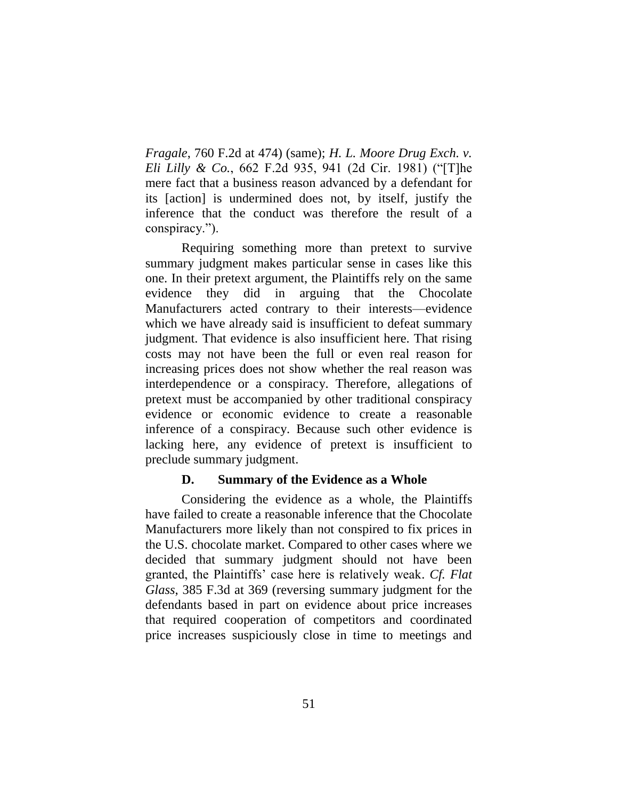*Fragale*, 760 F.2d at 474) (same); *H. L. Moore Drug Exch. v. Eli Lilly & Co.*, 662 F.2d 935, 941 (2d Cir. 1981) ("[T]he mere fact that a business reason advanced by a defendant for its [action] is undermined does not, by itself, justify the inference that the conduct was therefore the result of a conspiracy.").

Requiring something more than pretext to survive summary judgment makes particular sense in cases like this one. In their pretext argument, the Plaintiffs rely on the same evidence they did in arguing that the Chocolate Manufacturers acted contrary to their interests—evidence which we have already said is insufficient to defeat summary judgment. That evidence is also insufficient here. That rising costs may not have been the full or even real reason for increasing prices does not show whether the real reason was interdependence or a conspiracy. Therefore, allegations of pretext must be accompanied by other traditional conspiracy evidence or economic evidence to create a reasonable inference of a conspiracy. Because such other evidence is lacking here, any evidence of pretext is insufficient to preclude summary judgment.

### **D. Summary of the Evidence as a Whole**

Considering the evidence as a whole, the Plaintiffs have failed to create a reasonable inference that the Chocolate Manufacturers more likely than not conspired to fix prices in the U.S. chocolate market. Compared to other cases where we decided that summary judgment should not have been granted, the Plaintiffs' case here is relatively weak. *Cf. Flat Glass*, 385 F.3d at 369 (reversing summary judgment for the defendants based in part on evidence about price increases that required cooperation of competitors and coordinated price increases suspiciously close in time to meetings and